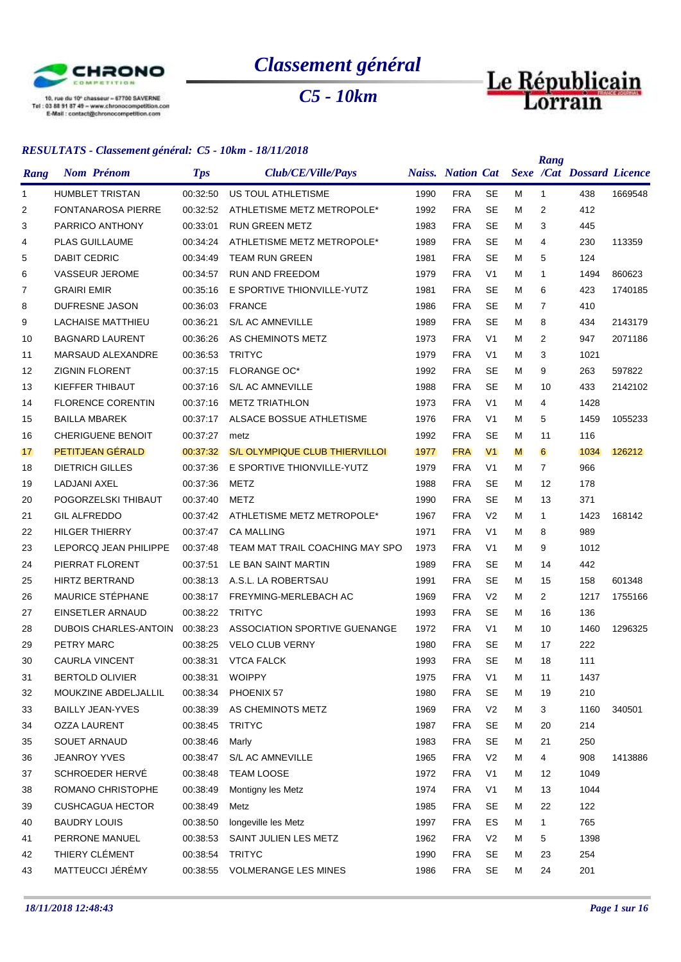

*Classement général*

*C5 - 10km*

# Le Républicain

|             | $\sim$                       |            | $\blacksquare$                        |      |                          |                |   | Rang           |                                  |         |
|-------------|------------------------------|------------|---------------------------------------|------|--------------------------|----------------|---|----------------|----------------------------------|---------|
| <b>Rang</b> | <b>Nom Prénom</b>            | <b>Tps</b> | Club/CE/Ville/Pays                    |      | <b>Naiss.</b> Nation Cat |                |   |                | <b>Sexe /Cat Dossard Licence</b> |         |
| 1           | <b>HUMBLET TRISTAN</b>       | 00:32:50   | US TOUL ATHLETISME                    | 1990 | <b>FRA</b>               | <b>SE</b>      | м | 1              | 438                              | 1669548 |
| 2           | <b>FONTANAROSA PIERRE</b>    | 00:32:52   | ATHLETISME METZ METROPOLE*            | 1992 | <b>FRA</b>               | <b>SE</b>      | м | 2              | 412                              |         |
| 3           | PARRICO ANTHONY              | 00:33:01   | <b>RUN GREEN METZ</b>                 | 1983 | <b>FRA</b>               | <b>SE</b>      | м | 3              | 445                              |         |
| 4           | <b>PLAS GUILLAUME</b>        | 00:34:24   | ATHLETISME METZ METROPOLE*            | 1989 | <b>FRA</b>               | <b>SE</b>      | м | 4              | 230                              | 113359  |
| 5           | <b>DABIT CEDRIC</b>          | 00:34:49   | <b>TEAM RUN GREEN</b>                 | 1981 | <b>FRA</b>               | <b>SE</b>      | м | 5              | 124                              |         |
| 6           | <b>VASSEUR JEROME</b>        | 00:34:57   | RUN AND FREEDOM                       | 1979 | <b>FRA</b>               | V <sub>1</sub> | м | 1              | 1494                             | 860623  |
| 7           | <b>GRAIRI EMIR</b>           | 00:35:16   | E SPORTIVE THIONVILLE-YUTZ            | 1981 | <b>FRA</b>               | SE             | М | 6              | 423                              | 1740185 |
| 8           | <b>DUFRESNE JASON</b>        | 00:36:03   | <b>FRANCE</b>                         | 1986 | <b>FRA</b>               | <b>SE</b>      | м | 7              | 410                              |         |
| 9           | <b>LACHAISE MATTHIEU</b>     | 00:36:21   | <b>S/L AC AMNEVILLE</b>               | 1989 | <b>FRA</b>               | <b>SE</b>      | м | 8              | 434                              | 2143179 |
| 10          | <b>BAGNARD LAURENT</b>       | 00:36:26   | AS CHEMINOTS METZ                     | 1973 | <b>FRA</b>               | V <sub>1</sub> | М | 2              | 947                              | 2071186 |
| 11          | MARSAUD ALEXANDRE            | 00:36:53   | <b>TRITYC</b>                         | 1979 | <b>FRA</b>               | V <sub>1</sub> | м | 3              | 1021                             |         |
| 12          | <b>ZIGNIN FLORENT</b>        | 00:37:15   | <b>FLORANGE OC*</b>                   | 1992 | <b>FRA</b>               | SE             | м | 9              | 263                              | 597822  |
| 13          | KIEFFER THIBAUT              | 00:37:16   | S/L AC AMNEVILLE                      | 1988 | <b>FRA</b>               | <b>SE</b>      | М | 10             | 433                              | 2142102 |
| 14          | <b>FLORENCE CORENTIN</b>     | 00:37:16   | <b>METZ TRIATHLON</b>                 | 1973 | <b>FRA</b>               | V <sub>1</sub> | м | 4              | 1428                             |         |
| 15          | <b>BAILLA MBAREK</b>         | 00:37:17   | ALSACE BOSSUE ATHLETISME              | 1976 | <b>FRA</b>               | V <sub>1</sub> | м | 5              | 1459                             | 1055233 |
| 16          | <b>CHERIGUENE BENOIT</b>     | 00:37:27   | metz                                  | 1992 | <b>FRA</b>               | <b>SE</b>      | м | 11             | 116                              |         |
| 17          | PETITJEAN GÉRALD             | 00:37:32   | <b>S/L OLYMPIQUE CLUB THIERVILLOI</b> | 1977 | <b>FRA</b>               | V <sub>1</sub> | M | 6              | 1034                             | 126212  |
| 18          | <b>DIETRICH GILLES</b>       | 00:37:36   | E SPORTIVE THIONVILLE-YUTZ            | 1979 | <b>FRA</b>               | V <sub>1</sub> | м | $\overline{7}$ | 966                              |         |
| 19          | LADJANI AXEL                 | 00:37:36   | METZ                                  | 1988 | <b>FRA</b>               | SE             | М | 12             | 178                              |         |
| 20          | POGORZELSKI THIBAUT          | 00:37:40   | <b>METZ</b>                           | 1990 | <b>FRA</b>               | SE             | м | 13             | 371                              |         |
| 21          | <b>GIL ALFREDDO</b>          | 00:37:42   | ATHLETISME METZ METROPOLE*            | 1967 | <b>FRA</b>               | V <sub>2</sub> | м | $\mathbf{1}$   | 1423                             | 168142  |
| 22          | <b>HILGER THIERRY</b>        | 00:37:47   | <b>CA MALLING</b>                     | 1971 | <b>FRA</b>               | V <sub>1</sub> | м | 8              | 989                              |         |
| 23          | LEPORCQ JEAN PHILIPPE        | 00:37:48   | TEAM MAT TRAIL COACHING MAY SPO       | 1973 | <b>FRA</b>               | V <sub>1</sub> | м | 9              | 1012                             |         |
| 24          | PIERRAT FLORENT              | 00:37:51   | LE BAN SAINT MARTIN                   | 1989 | <b>FRA</b>               | SE             | М | 14             | 442                              |         |
| 25          | <b>HIRTZ BERTRAND</b>        | 00:38:13   | A.S.L. LA ROBERTSAU                   | 1991 | <b>FRA</b>               | <b>SE</b>      | м | 15             | 158                              | 601348  |
| 26          | MAURICE STÉPHANE             | 00:38:17   | FREYMING-MERLEBACH AC                 | 1969 | <b>FRA</b>               | V <sub>2</sub> | м | $\overline{2}$ | 1217                             | 1755166 |
| 27          | EINSETLER ARNAUD             | 00:38:22   | <b>TRITYC</b>                         | 1993 | <b>FRA</b>               | SE             | М | 16             | 136                              |         |
| 28          | <b>DUBOIS CHARLES-ANTOIN</b> | 00:38:23   | ASSOCIATION SPORTIVE GUENANGE         | 1972 | <b>FRA</b>               | V <sub>1</sub> | м | 10             | 1460                             | 1296325 |
| 29          | PETRY MARC                   | 00:38:25   | <b>VELO CLUB VERNY</b>                | 1980 | <b>FRA</b>               | <b>SE</b>      | м | 17             | 222                              |         |
| 30          | <b>CAURLA VINCENT</b>        | 00:38:31   | <b>VTCA FALCK</b>                     | 1993 | <b>FRA</b>               | <b>SE</b>      | M | 18             | 111                              |         |
| 31          | <b>BERTOLD OLIVIER</b>       | 00:38:31   | <b>WOIPPY</b>                         | 1975 | <b>FRA</b>               | V <sub>1</sub> | м | 11             | 1437                             |         |
| 32          | MOUKZINE ABDELJALLIL         | 00:38:34   | PHOENIX 57                            | 1980 | <b>FRA</b>               | <b>SE</b>      | м | 19             | 210                              |         |
| 33          | <b>BAILLY JEAN-YVES</b>      | 00:38:39   | AS CHEMINOTS METZ                     | 1969 | <b>FRA</b>               | V <sub>2</sub> | М | 3              | 1160                             | 340501  |
| 34          | <b>OZZA LAURENT</b>          | 00:38:45   | <b>TRITYC</b>                         | 1987 | <b>FRA</b>               | <b>SE</b>      | М | 20             | 214                              |         |
| 35          | <b>SOUET ARNAUD</b>          | 00:38:46   | Marly                                 | 1983 | <b>FRA</b>               | <b>SE</b>      | м | 21             | 250                              |         |
| 36          | <b>JEANROY YVES</b>          | 00:38:47   | S/L AC AMNEVILLE                      | 1965 | <b>FRA</b>               | V <sub>2</sub> | м | 4              | 908                              | 1413886 |
| 37          | SCHROEDER HERVÉ              | 00:38:48   | <b>TEAM LOOSE</b>                     | 1972 | <b>FRA</b>               | V <sub>1</sub> | М | 12             | 1049                             |         |
| 38          | ROMANO CHRISTOPHE            | 00:38:49   | Montigny les Metz                     | 1974 | <b>FRA</b>               | V <sub>1</sub> | М | 13             | 1044                             |         |
| 39          | <b>CUSHCAGUA HECTOR</b>      | 00:38:49   | Metz                                  | 1985 | <b>FRA</b>               | <b>SE</b>      | М | 22             | 122                              |         |
| 40          | <b>BAUDRY LOUIS</b>          | 00:38:50   | longeville les Metz                   | 1997 | <b>FRA</b>               | ES             | M | 1              | 765                              |         |
| 41          | PERRONE MANUEL               | 00:38:53   | SAINT JULIEN LES METZ                 | 1962 | <b>FRA</b>               | V <sub>2</sub> | М | 5              | 1398                             |         |
| 42          | THIERY CLÉMENT               | 00:38:54   | <b>TRITYC</b>                         | 1990 | <b>FRA</b>               | <b>SE</b>      | м | 23             | 254                              |         |
| 43          | MATTEUCCI JÉRÉMY             | 00:38:55   | <b>VOLMERANGE LES MINES</b>           | 1986 | <b>FRA</b>               | SE             | м | 24             | 201                              |         |
|             |                              |            |                                       |      |                          |                |   |                |                                  |         |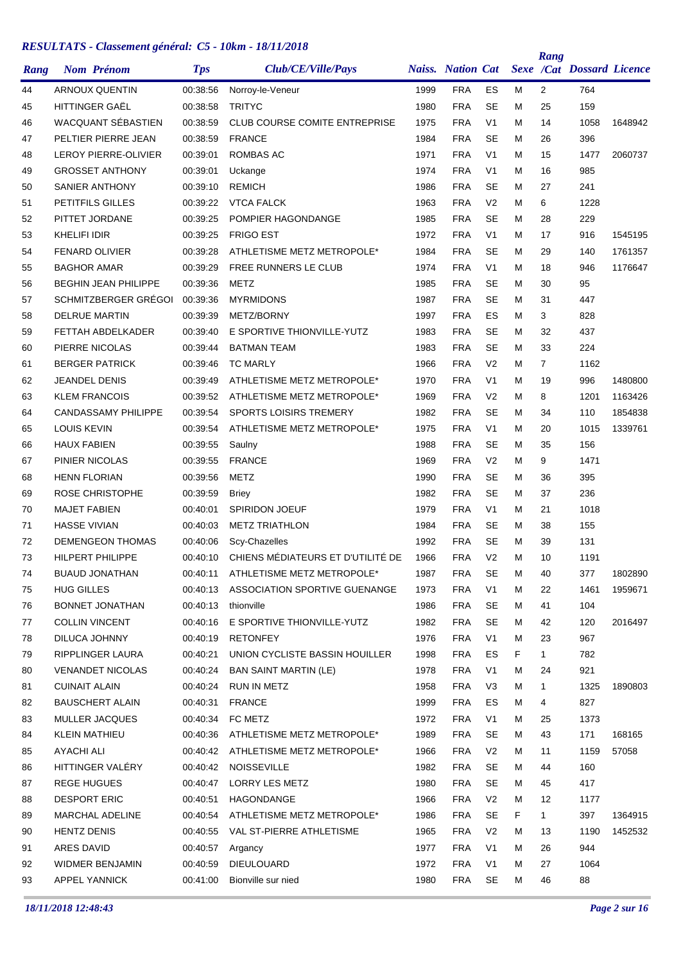| Rang | <b>Nom Prénom</b>           | <b>Tps</b> | Club/CE/Ville/Pays                   |      | <b>Naiss.</b> Nation Cat |                |    | Rang           | <b>Sexe /Cat Dossard Licence</b> |         |
|------|-----------------------------|------------|--------------------------------------|------|--------------------------|----------------|----|----------------|----------------------------------|---------|
| 44   | <b>ARNOUX QUENTIN</b>       | 00:38:56   | Norroy-le-Veneur                     | 1999 | <b>FRA</b>               | ES             | м  | $\overline{2}$ | 764                              |         |
| 45   | <b>HITTINGER GAEL</b>       | 00:38:58   | <b>TRITYC</b>                        | 1980 | <b>FRA</b>               | <b>SE</b>      | М  | 25             | 159                              |         |
| 46   | WACQUANT SÉBASTIEN          | 00:38:59   | <b>CLUB COURSE COMITE ENTREPRISE</b> | 1975 | <b>FRA</b>               | V <sub>1</sub> | М  | 14             | 1058                             | 1648942 |
| 47   | PELTIER PIERRE JEAN         | 00:38:59   | <b>FRANCE</b>                        | 1984 | <b>FRA</b>               | <b>SE</b>      | М  | 26             | 396                              |         |
| 48   | <b>LEROY PIERRE-OLIVIER</b> | 00:39:01   | ROMBAS AC                            | 1971 | <b>FRA</b>               | V <sub>1</sub> | М  | 15             | 1477                             | 2060737 |
| 49   | <b>GROSSET ANTHONY</b>      | 00:39:01   | Uckange                              | 1974 | <b>FRA</b>               | V <sub>1</sub> | М  | 16             | 985                              |         |
| 50   | <b>SANIER ANTHONY</b>       | 00:39:10   | <b>REMICH</b>                        | 1986 | <b>FRA</b>               | <b>SE</b>      | М  | 27             | 241                              |         |
| 51   | PETITFILS GILLES            | 00:39:22   | <b>VTCA FALCK</b>                    | 1963 | <b>FRA</b>               | V <sub>2</sub> | М  | 6              | 1228                             |         |
| 52   | PITTET JORDANE              | 00:39:25   | POMPIER HAGONDANGE                   | 1985 | <b>FRA</b>               | <b>SE</b>      | М  | 28             | 229                              |         |
| 53   | KHELIFI IDIR                | 00:39:25   | <b>FRIGO EST</b>                     | 1972 | <b>FRA</b>               | V <sub>1</sub> | м  | 17             | 916                              | 1545195 |
| 54   | <b>FENARD OLIVIER</b>       | 00:39:28   | ATHLETISME METZ METROPOLE*           | 1984 | <b>FRA</b>               | <b>SE</b>      | М  | 29             | 140                              | 1761357 |
| 55   | <b>BAGHOR AMAR</b>          | 00:39:29   | FREE RUNNERS LE CLUB                 | 1974 | <b>FRA</b>               | V <sub>1</sub> | М  | 18             | 946                              | 1176647 |
| 56   | <b>BEGHIN JEAN PHILIPPE</b> | 00:39:36   | METZ                                 | 1985 | <b>FRA</b>               | <b>SE</b>      | М  | 30             | 95                               |         |
| 57   | SCHMITZBERGER GRÉGOI        | 00:39:36   | <b>MYRMIDONS</b>                     | 1987 | <b>FRA</b>               | <b>SE</b>      | М  | 31             | 447                              |         |
| 58   | <b>DELRUE MARTIN</b>        | 00:39:39   | METZ/BORNY                           | 1997 | <b>FRA</b>               | ES             | М  | 3              | 828                              |         |
| 59   | FETTAH ABDELKADER           | 00:39:40   | E SPORTIVE THIONVILLE-YUTZ           | 1983 | <b>FRA</b>               | <b>SE</b>      | М  | 32             | 437                              |         |
| 60   | PIERRE NICOLAS              | 00:39:44   | <b>BATMAN TEAM</b>                   | 1983 | <b>FRA</b>               | <b>SE</b>      | М  | 33             | 224                              |         |
| 61   | <b>BERGER PATRICK</b>       | 00:39:46   | <b>TC MARLY</b>                      | 1966 | <b>FRA</b>               | V <sub>2</sub> | М  | $\overline{7}$ | 1162                             |         |
| 62   | <b>JEANDEL DENIS</b>        | 00:39:49   | ATHLETISME METZ METROPOLE*           | 1970 | <b>FRA</b>               | V <sub>1</sub> | М  | 19             | 996                              | 1480800 |
| 63   | <b>KLEM FRANCOIS</b>        | 00:39:52   | ATHLETISME METZ METROPOLE*           | 1969 | <b>FRA</b>               | V <sub>2</sub> | М  | 8              | 1201                             | 1163426 |
| 64   | <b>CANDASSAMY PHILIPPE</b>  | 00:39:54   | <b>SPORTS LOISIRS TREMERY</b>        | 1982 | <b>FRA</b>               | <b>SE</b>      | М  | 34             | 110                              | 1854838 |
| 65   | <b>LOUIS KEVIN</b>          | 00:39:54   | ATHLETISME METZ METROPOLE*           | 1975 | <b>FRA</b>               | V <sub>1</sub> | М  | 20             | 1015                             | 1339761 |
| 66   | <b>HAUX FABIEN</b>          | 00:39:55   | Saulny                               | 1988 | <b>FRA</b>               | <b>SE</b>      | М  | 35             | 156                              |         |
| 67   | PINIER NICOLAS              | 00:39:55   | <b>FRANCE</b>                        | 1969 | <b>FRA</b>               | V <sub>2</sub> | М  | 9              | 1471                             |         |
| 68   | <b>HENN FLORIAN</b>         | 00:39:56   | <b>METZ</b>                          | 1990 | <b>FRA</b>               | <b>SE</b>      | М  | 36             | 395                              |         |
| 69   | <b>ROSE CHRISTOPHE</b>      | 00:39:59   | <b>Briey</b>                         | 1982 | <b>FRA</b>               | <b>SE</b>      | М  | 37             | 236                              |         |
| 70   | <b>MAJET FABIEN</b>         | 00:40:01   | <b>SPIRIDON JOEUF</b>                | 1979 | <b>FRA</b>               | V <sub>1</sub> | М  | 21             | 1018                             |         |
| 71   | <b>HASSE VIVIAN</b>         | 00:40:03   | <b>METZ TRIATHLON</b>                | 1984 | <b>FRA</b>               | <b>SE</b>      | М  | 38             | 155                              |         |
| 72   | <b>DEMENGEON THOMAS</b>     | 00:40:06   | Scy-Chazelles                        | 1992 | <b>FRA</b>               | SE             | М  | 39             | 131                              |         |
| 73   | <b>HILPERT PHILIPPE</b>     | 00:40:10   | CHIENS MÉDIATEURS ET D'UTILITÉ DE    | 1966 | <b>FRA</b>               | V <sub>2</sub> | М  | 10             | 1191                             |         |
| 74   | <b>BUAUD JONATHAN</b>       | 00:40:11   | ATHLETISME METZ METROPOLE*           | 1987 | <b>FRA</b>               | <b>SE</b>      | Μ  | 40             | 377                              | 1802890 |
| 75   | <b>HUG GILLES</b>           | 00:40:13   | ASSOCIATION SPORTIVE GUENANGE        | 1973 | <b>FRA</b>               | V <sub>1</sub> | м  | 22             | 1461                             | 1959671 |
| 76   | <b>BONNET JONATHAN</b>      | 00:40:13   | thionville                           | 1986 | <b>FRA</b>               | <b>SE</b>      | м  | 41             | 104                              |         |
| 77   | <b>COLLIN VINCENT</b>       | 00:40:16   | E SPORTIVE THIONVILLE-YUTZ           | 1982 | <b>FRA</b>               | <b>SE</b>      | Μ  | 42             | 120                              | 2016497 |
| 78   | DILUCA JOHNNY               | 00:40:19   | <b>RETONFEY</b>                      | 1976 | <b>FRA</b>               | V <sub>1</sub> | м  | 23             | 967                              |         |
| 79   | RIPPLINGER LAURA            | 00:40:21   | UNION CYCLISTE BASSIN HOUILLER       | 1998 | <b>FRA</b>               | ES             | F  | $\mathbf{1}$   | 782                              |         |
| 80   | <b>VENANDET NICOLAS</b>     | 00:40:24   | <b>BAN SAINT MARTIN (LE)</b>         | 1978 | <b>FRA</b>               | V <sub>1</sub> | м  | 24             | 921                              |         |
| 81   | <b>CUINAIT ALAIN</b>        | 00:40:24   | RUN IN METZ                          | 1958 | <b>FRA</b>               | V <sub>3</sub> | м  | $\mathbf{1}$   | 1325                             | 1890803 |
| 82   | <b>BAUSCHERT ALAIN</b>      | 00:40:31   | <b>FRANCE</b>                        | 1999 | <b>FRA</b>               | ES             | м  | 4              | 827                              |         |
| 83   | MULLER JACQUES              | 00:40:34   | FC METZ                              | 1972 | <b>FRA</b>               | V <sub>1</sub> | м  | 25             | 1373                             |         |
| 84   | <b>KLEIN MATHIEU</b>        | 00:40:36   | ATHLETISME METZ METROPOLE*           | 1989 | <b>FRA</b>               | <b>SE</b>      | м  | 43             | 171                              | 168165  |
| 85   | <b>AYACHI ALI</b>           | 00:40:42   | ATHLETISME METZ METROPOLE*           | 1966 | <b>FRA</b>               | V <sub>2</sub> | м  | 11             | 1159                             | 57058   |
| 86   | HITTINGER VALÉRY            | 00:40:42   | <b>NOISSEVILLE</b>                   | 1982 | <b>FRA</b>               | <b>SE</b>      | м  | 44             | 160                              |         |
| 87   | <b>REGE HUGUES</b>          | 00:40:47   | <b>LORRY LES METZ</b>                | 1980 | <b>FRA</b>               | <b>SE</b>      | Μ  | 45             | 417                              |         |
| 88   | <b>DESPORT ERIC</b>         | 00:40:51   | HAGONDANGE                           | 1966 | <b>FRA</b>               | V <sub>2</sub> | м  | 12             | 1177                             |         |
| 89   | <b>MARCHAL ADELINE</b>      | 00:40:54   | ATHLETISME METZ METROPOLE*           | 1986 | <b>FRA</b>               | <b>SE</b>      | F. | 1              | 397                              | 1364915 |
| 90   | <b>HENTZ DENIS</b>          | 00:40:55   | VAL ST-PIERRE ATHLETISME             | 1965 | <b>FRA</b>               | V <sub>2</sub> | м  | 13             | 1190                             | 1452532 |
| 91   | <b>ARES DAVID</b>           | 00:40:57   | Argancy                              | 1977 | <b>FRA</b>               | V <sub>1</sub> | м  | 26             | 944                              |         |
| 92   | WIDMER BENJAMIN             | 00:40:59   | <b>DIEULOUARD</b>                    | 1972 | <b>FRA</b>               | V <sub>1</sub> | м  | 27             | 1064                             |         |
| 93   | APPEL YANNICK               | 00:41:00   | Bionville sur nied                   | 1980 | <b>FRA</b>               | SE             | м  | 46             | 88                               |         |
|      |                             |            |                                      |      |                          |                |    |                |                                  |         |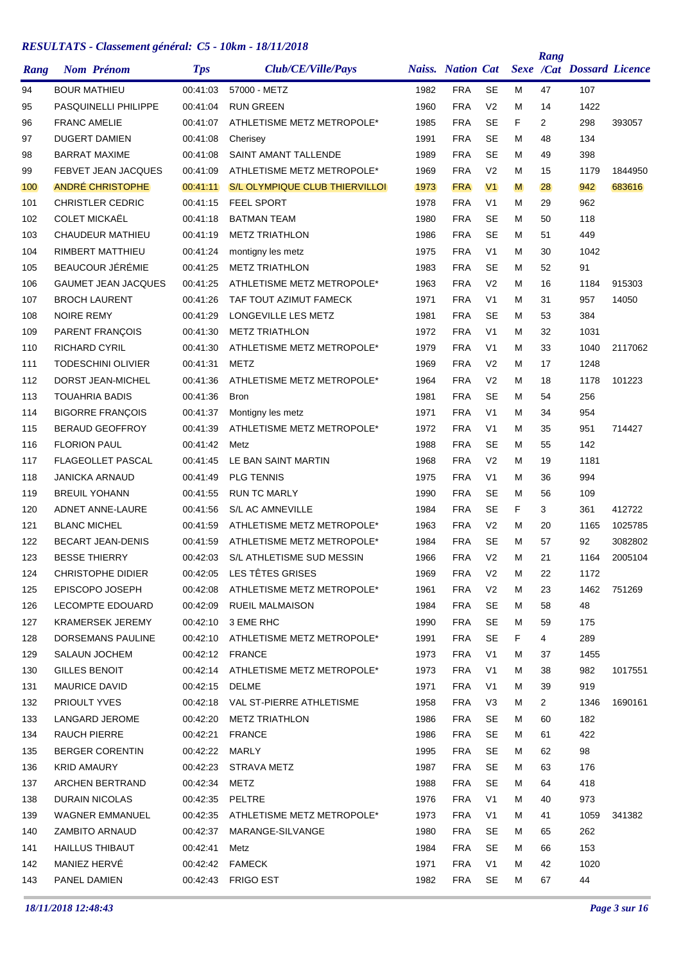| Rang       |                      | <b>Nom Prénom</b>           | <b>Tps</b>           | Club/CE/Ville/Pays                    |      | <b>Naiss.</b> Nation Cat |                |        | Rang           | Sexe /Cat Dossard Licence |         |
|------------|----------------------|-----------------------------|----------------------|---------------------------------------|------|--------------------------|----------------|--------|----------------|---------------------------|---------|
| 94         | <b>BOUR MATHIEU</b>  |                             | 00:41:03             | 57000 - METZ                          | 1982 | <b>FRA</b>               | <b>SE</b>      | м      | 47             | 107                       |         |
| 95         |                      | <b>PASQUINELLI PHILIPPE</b> | 00:41:04             | <b>RUN GREEN</b>                      | 1960 | <b>FRA</b>               | V <sub>2</sub> | м      | 14             | 1422                      |         |
| 96         | <b>FRANC AMELIE</b>  |                             | 00:41:07             | ATHLETISME METZ METROPOLE*            | 1985 | <b>FRA</b>               | <b>SE</b>      | F      | $\overline{2}$ | 298                       | 393057  |
| 97         |                      | <b>DUGERT DAMIEN</b>        | 00:41:08             | Cherisey                              | 1991 | <b>FRA</b>               | <b>SE</b>      | M      | 48             | 134                       |         |
| 98         |                      | <b>BARRAT MAXIME</b>        | 00:41:08             | <b>SAINT AMANT TALLENDE</b>           | 1989 | <b>FRA</b>               | SE             | М      | 49             | 398                       |         |
| 99         |                      | <b>FEBVET JEAN JACQUES</b>  | 00:41:09             | ATHLETISME METZ METROPOLE*            | 1969 | <b>FRA</b>               | V <sub>2</sub> | М      | 15             | 1179                      | 1844950 |
| 100        |                      | <b>ANDRÉ CHRISTOPHE</b>     | 00:41:11             | <b>S/L OLYMPIQUE CLUB THIERVILLOI</b> | 1973 | <b>FRA</b>               | V <sub>1</sub> | M      | 28             | 942                       | 683616  |
| 101        |                      | <b>CHRISTLER CEDRIC</b>     | 00:41:15             | <b>FEEL SPORT</b>                     | 1978 | <b>FRA</b>               | V <sub>1</sub> | м      | 29             | 962                       |         |
| 102        |                      | <b>COLET MICKAËL</b>        | 00:41:18             | <b>BATMAN TEAM</b>                    | 1980 | <b>FRA</b>               | <b>SE</b>      | M      | 50             | 118                       |         |
| 103        |                      | <b>CHAUDEUR MATHIEU</b>     | 00:41:19             | <b>METZ TRIATHLON</b>                 | 1986 | <b>FRA</b>               | <b>SE</b>      | М      | 51             | 449                       |         |
| 104        |                      | RIMBERT MATTHIEU            | 00:41:24             | montigny les metz                     | 1975 | <b>FRA</b>               | V <sub>1</sub> | М      | 30             | 1042                      |         |
| 105        |                      | BEAUCOUR JÉRÉMIE            | 00:41:25             | <b>METZ TRIATHLON</b>                 | 1983 | <b>FRA</b>               | SE             | М      | 52             | 91                        |         |
| 106        |                      | <b>GAUMET JEAN JACQUES</b>  | 00:41:25             | ATHLETISME METZ METROPOLE*            | 1963 | <b>FRA</b>               | V <sub>2</sub> | М      | 16             | 1184                      | 915303  |
| 107        |                      | <b>BROCH LAURENT</b>        | 00:41:26             | TAF TOUT AZIMUT FAMECK                | 1971 | <b>FRA</b>               | V <sub>1</sub> | м      | 31             | 957                       | 14050   |
| 108        | <b>NOIRE REMY</b>    |                             | 00:41:29             | LONGEVILLE LES METZ                   | 1981 | <b>FRA</b>               | SE             | М      | 53             | 384                       |         |
| 109        |                      | PARENT FRANÇOIS             | 00:41:30             | <b>METZ TRIATHLON</b>                 | 1972 | <b>FRA</b>               | V <sub>1</sub> | м      | 32             | 1031                      |         |
| 110        | <b>RICHARD CYRIL</b> |                             | 00:41:30             | ATHLETISME METZ METROPOLE*            | 1979 | <b>FRA</b>               | V <sub>1</sub> | М      | 33             | 1040                      | 2117062 |
| 111        |                      | <b>TODESCHINI OLIVIER</b>   | 00:41:31             | <b>METZ</b>                           | 1969 | <b>FRA</b>               | V <sub>2</sub> | м      | 17             | 1248                      |         |
| 112        |                      | DORST JEAN-MICHEL           | 00:41:36             | ATHLETISME METZ METROPOLE*            | 1964 | <b>FRA</b>               | V <sub>2</sub> | М      | 18             | 1178                      | 101223  |
| 113        |                      | <b>TOUAHRIA BADIS</b>       | 00:41:36             | <b>Bron</b>                           | 1981 | <b>FRA</b>               | <b>SE</b>      | м      | 54             | 256                       |         |
| 114        |                      | <b>BIGORRE FRANÇOIS</b>     | 00:41:37             | Montigny les metz                     | 1971 | <b>FRA</b>               | V <sub>1</sub> | М      | 34             | 954                       |         |
| 115        |                      | <b>BERAUD GEOFFROY</b>      | 00:41:39             | ATHLETISME METZ METROPOLE*            | 1972 | <b>FRA</b>               | V <sub>1</sub> | М      | 35             | 951                       | 714427  |
| 116        | <b>FLORION PAUL</b>  |                             | 00:41:42             | Metz                                  | 1988 | <b>FRA</b>               | SE             | М      | 55             | 142                       |         |
| 117        |                      | <b>FLAGEOLLET PASCAL</b>    | 00:41:45             | LE BAN SAINT MARTIN                   | 1968 | <b>FRA</b>               | V <sub>2</sub> | М      | 19             | 1181                      |         |
| 118        |                      | <b>JANICKA ARNAUD</b>       | 00:41:49             | <b>PLG TENNIS</b>                     | 1975 | <b>FRA</b>               | V <sub>1</sub> | м      | 36             | 994                       |         |
| 119        |                      | <b>BREUIL YOHANN</b>        | 00:41:55             | <b>RUN TC MARLY</b>                   | 1990 | <b>FRA</b>               | SE             | M      | 56             | 109                       |         |
| 120        |                      | <b>ADNET ANNE-LAURE</b>     | 00:41:56             | S/L AC AMNEVILLE                      | 1984 | <b>FRA</b>               | <b>SE</b>      | F.     | 3              | 361                       | 412722  |
| 121        | <b>BLANC MICHEL</b>  |                             | 00:41:59             | ATHLETISME METZ METROPOLE*            | 1963 | <b>FRA</b>               | V <sub>2</sub> | M      | 20             | 1165                      | 1025785 |
| 122        |                      | <b>BECART JEAN-DENIS</b>    | 00:41:59             | ATHLETISME METZ METROPOLE*            | 1984 | <b>FRA</b>               | SE             | М      | 57             | 92                        | 3082802 |
| 123        |                      | <b>BESSE THIERRY</b>        | 00:42:03             | S/L ATHLETISME SUD MESSIN             | 1966 | <b>FRA</b>               | V <sub>2</sub> | M      | 21             | 1164                      | 2005104 |
| 124        |                      | <b>CHRISTOPHE DIDIER</b>    |                      | 00:42:05 LES TÊTES GRISES             | 1969 | <b>FRA</b>               | V <sub>2</sub> | Μ      | 22             | 1172                      |         |
| 125        |                      | EPISCOPO JOSEPH             | 00:42:08             | ATHLETISME METZ METROPOLE*            | 1961 | <b>FRA</b>               | V <sub>2</sub> | М      | 23             | 1462                      | 751269  |
| 126        |                      | LECOMPTE EDOUARD            |                      | 00:42:09 RUEIL MALMAISON              | 1984 | <b>FRA</b>               | <b>SE</b>      | М      | 58             | 48                        |         |
| 127        |                      | <b>KRAMERSEK JEREMY</b>     |                      | 00:42:10 3 EME RHC                    | 1990 | <b>FRA</b>               | <b>SE</b>      | М      | 59             | 175                       |         |
| 128        |                      | <b>DORSEMANS PAULINE</b>    | 00:42:10             | ATHLETISME METZ METROPOLE*            | 1991 | <b>FRA</b>               | <b>SE</b>      | F.     | 4              | 289                       |         |
| 129        |                      | SALAUN JOCHEM               |                      | 00:42:12 FRANCE                       | 1973 | <b>FRA</b>               | V <sub>1</sub> | M      | 37             | 1455                      |         |
| 130        | <b>GILLES BENOIT</b> |                             | 00:42:14             | ATHLETISME METZ METROPOLE*            | 1973 | <b>FRA</b>               | V <sub>1</sub> | М      | 38             | 982                       | 1017551 |
| 131        | <b>MAURICE DAVID</b> |                             | 00:42:15 DELME       |                                       | 1971 | <b>FRA</b>               | V <sub>1</sub> | М      | 39             | 919                       |         |
| 132        | PRIOULT YVES         |                             |                      | 00:42:18 VAL ST-PIERRE ATHLETISME     | 1958 | <b>FRA</b>               | V3             | М      | 2              | 1346                      | 1690161 |
| 133        |                      | LANGARD JEROME              | 00:42:20             | <b>METZ TRIATHLON</b>                 | 1986 | <b>FRA</b>               | <b>SE</b>      | М      | 60             | 182                       |         |
| 134        | <b>RAUCH PIERRE</b>  |                             | 00:42:21             | <b>FRANCE</b>                         | 1986 | <b>FRA</b>               | <b>SE</b>      | М      | 61             | 422                       |         |
| 135        |                      | <b>BERGER CORENTIN</b>      | 00:42:22             | MARLY                                 | 1995 | <b>FRA</b>               | <b>SE</b>      | М      | 62             | 98                        |         |
| 136        | KRID AMAURY          |                             |                      | 00:42:23 STRAVA METZ                  | 1987 | <b>FRA</b>               | <b>SE</b>      | M      | 63             | 176                       |         |
| 137        |                      | ARCHEN BERTRAND             | 00:42:34             | METZ                                  | 1988 | FRA                      | <b>SE</b>      | М      | 64             | 418                       |         |
| 138        |                      | DURAIN NICOLAS              | 00:42:35 PELTRE      |                                       | 1976 | <b>FRA</b>               | V <sub>1</sub> | М      | 40             | 973                       |         |
|            |                      | <b>WAGNER EMMANUEL</b>      |                      | ATHLETISME METZ METROPOLE*            | 1973 | FRA                      | V <sub>1</sub> |        |                |                           |         |
| 139<br>140 |                      | <b>ZAMBITO ARNAUD</b>       | 00:42:35<br>00:42:37 | MARANGE-SILVANGE                      | 1980 | FRA                      | <b>SE</b>      | М<br>М | 41<br>65       | 1059<br>262               | 341382  |
|            |                      | <b>HAILLUS THIBAUT</b>      |                      |                                       | 1984 | <b>FRA</b>               | <b>SE</b>      |        |                | 153                       |         |
| 141        | MANIEZ HERVÉ         |                             | 00:42:41             | Metz<br>00:42:42 FAMECK               | 1971 | <b>FRA</b>               | V <sub>1</sub> | M      | 66             | 1020                      |         |
| 142        | PANEL DAMIEN         |                             |                      |                                       | 1982 | <b>FRA</b>               | SE             | М      | 42<br>67       | 44                        |         |
| 143        |                      |                             |                      |                                       |      |                          |                | М      |                |                           |         |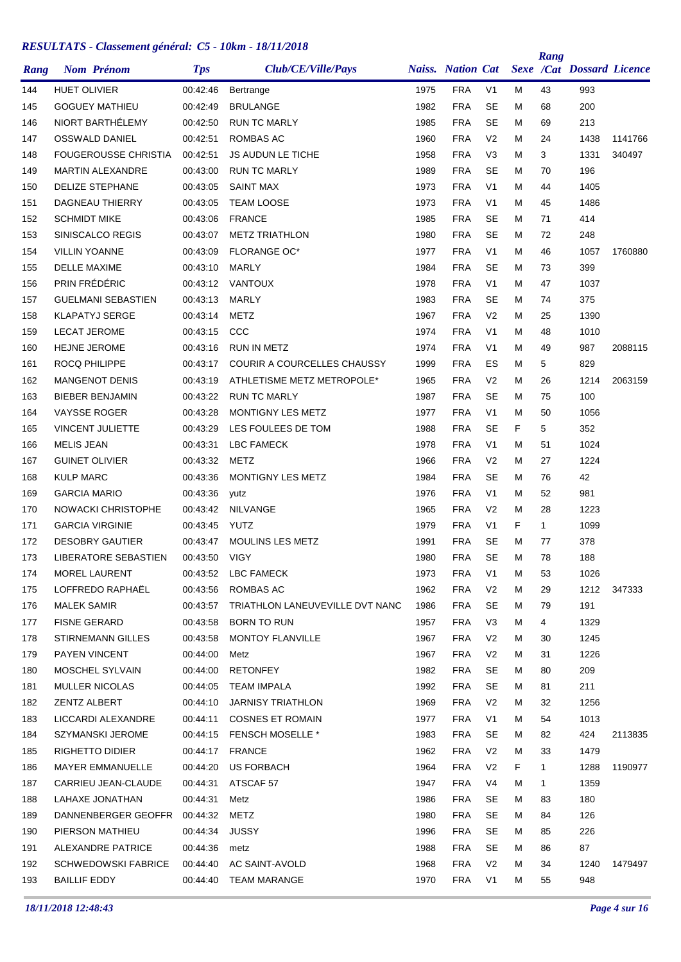| Rang | <b>Nom Prénom</b>                                | <b>Tps</b>           | Club/CE/Ville/Pays                 |              | <b>Naiss.</b> Nation Cat |                        |    | Rang         | <b>Sexe /Cat Dossard Licence</b> |         |
|------|--------------------------------------------------|----------------------|------------------------------------|--------------|--------------------------|------------------------|----|--------------|----------------------------------|---------|
| 144  | <b>HUET OLIVIER</b>                              | 00:42:46             | Bertrange                          | 1975         | <b>FRA</b>               | V <sub>1</sub>         | М  | 43           | 993                              |         |
| 145  | <b>GOGUEY MATHIEU</b>                            | 00:42:49             | <b>BRULANGE</b>                    | 1982         | <b>FRA</b>               | <b>SE</b>              | М  | 68           | 200                              |         |
| 146  | NIORT BARTHÉLEMY                                 | 00:42:50             | <b>RUN TC MARLY</b>                | 1985         | <b>FRA</b>               | <b>SE</b>              | M  | 69           | 213                              |         |
| 147  | <b>OSSWALD DANIEL</b>                            | 00:42:51             | <b>ROMBAS AC</b>                   | 1960         | <b>FRA</b>               | V <sub>2</sub>         | M  | 24           | 1438                             | 1141766 |
| 148  | <b>FOUGEROUSSE CHRISTIA</b>                      | 00:42:51             | <b>JS AUDUN LE TICHE</b>           | 1958         | <b>FRA</b>               | V <sub>3</sub>         | М  | 3            | 1331                             | 340497  |
| 149  | <b>MARTIN ALEXANDRE</b>                          | 00:43:00             | <b>RUN TC MARLY</b>                | 1989         | <b>FRA</b>               | <b>SE</b>              | М  | 70           | 196                              |         |
| 150  | <b>DELIZE STEPHANE</b>                           | 00:43:05             | <b>SAINT MAX</b>                   | 1973         | <b>FRA</b>               | V <sub>1</sub>         | М  | 44           | 1405                             |         |
| 151  | <b>DAGNEAU THIERRY</b>                           | 00:43:05             | <b>TEAM LOOSE</b>                  | 1973         | <b>FRA</b>               | V <sub>1</sub>         | М  | 45           | 1486                             |         |
| 152  | <b>SCHMIDT MIKE</b>                              | 00:43:06             | <b>FRANCE</b>                      | 1985         | <b>FRA</b>               | <b>SE</b>              | М  | 71           | 414                              |         |
| 153  | SINISCALCO REGIS                                 | 00:43:07             | <b>METZ TRIATHLON</b>              | 1980         | <b>FRA</b>               | <b>SE</b>              | М  | 72           | 248                              |         |
| 154  | <b>VILLIN YOANNE</b>                             | 00:43:09             | <b>FLORANGE OC*</b>                | 1977         | <b>FRA</b>               | V <sub>1</sub>         | М  | 46           | 1057                             | 1760880 |
| 155  | DELLE MAXIME                                     | 00:43:10             | MARLY                              | 1984         | <b>FRA</b>               | <b>SE</b>              | М  | 73           | 399                              |         |
| 156  | PRIN FRÉDÉRIC                                    | 00:43:12             | VANTOUX                            | 1978         | <b>FRA</b>               | V <sub>1</sub>         | М  | 47           | 1037                             |         |
| 157  | <b>GUELMANI SEBASTIEN</b>                        | 00:43:13             | <b>MARLY</b>                       | 1983         | <b>FRA</b>               | <b>SE</b>              | М  | 74           | 375                              |         |
| 158  | <b>KLAPATYJ SERGE</b>                            | 00:43:14             | <b>METZ</b>                        | 1967         | <b>FRA</b>               | V <sub>2</sub>         | М  | 25           | 1390                             |         |
| 159  | <b>LECAT JEROME</b>                              | 00:43:15             | CCC                                | 1974         | <b>FRA</b>               | V <sub>1</sub>         | м  | 48           | 1010                             |         |
| 160  | <b>HEJNE JEROME</b>                              | 00:43:16             | <b>RUN IN METZ</b>                 | 1974         | <b>FRA</b>               | V <sub>1</sub>         | М  | 49           | 987                              | 2088115 |
| 161  | <b>ROCQ PHILIPPE</b>                             | 00:43:17             | <b>COURIR A COURCELLES CHAUSSY</b> | 1999         | <b>FRA</b>               | ES                     | M  | 5            | 829                              |         |
| 162  | <b>MANGENOT DENIS</b>                            | 00:43:19             | ATHLETISME METZ METROPOLE*         | 1965         | <b>FRA</b>               | V <sub>2</sub>         | М  | 26           | 1214                             | 2063159 |
| 163  | <b>BIEBER BENJAMIN</b>                           | 00:43:22             | <b>RUN TC MARLY</b>                | 1987         | <b>FRA</b>               | <b>SE</b>              | М  | 75           | 100                              |         |
| 164  | <b>VAYSSE ROGER</b>                              | 00:43:28             | MONTIGNY LES METZ                  | 1977         | <b>FRA</b>               | V <sub>1</sub>         | M  | 50           | 1056                             |         |
| 165  | <b>VINCENT JULIETTE</b>                          | 00:43:29             | LES FOULEES DE TOM                 | 1988         | <b>FRA</b>               | SE                     | F  | 5            | 352                              |         |
| 166  | <b>MELIS JEAN</b>                                | 00:43:31             | LBC FAMECK                         | 1978         | <b>FRA</b>               | V <sub>1</sub>         | М  | 51           | 1024                             |         |
| 167  | <b>GUINET OLIVIER</b>                            | 00:43:32             | METZ                               | 1966         | <b>FRA</b>               | V <sub>2</sub>         | М  | 27           | 1224                             |         |
| 168  | <b>KULP MARC</b>                                 | 00:43:36             | MONTIGNY LES METZ                  | 1984         | <b>FRA</b>               | <b>SE</b>              | М  | 76           | 42                               |         |
| 169  | <b>GARCIA MARIO</b>                              | 00:43:36             |                                    | 1976         | <b>FRA</b>               | V <sub>1</sub>         | М  | 52           | 981                              |         |
|      | NOWACKI CHRISTOPHE                               | 00:43:42             | yutz<br><b>NILVANGE</b>            | 1965         | <b>FRA</b>               | V <sub>2</sub>         | М  | 28           | 1223                             |         |
| 170  |                                                  |                      | <b>YUTZ</b>                        |              | <b>FRA</b>               | V <sub>1</sub>         | F  | $\mathbf{1}$ | 1099                             |         |
| 171  | <b>GARCIA VIRGINIE</b><br><b>DESOBRY GAUTIER</b> | 00:43:45<br>00:43:47 | <b>MOULINS LES METZ</b>            | 1979         |                          |                        |    |              | 378                              |         |
| 172  |                                                  |                      |                                    | 1991<br>1980 | <b>FRA</b><br><b>FRA</b> | <b>SE</b><br><b>SE</b> | М  | 77           | 188                              |         |
| 173  | LIBERATORE SEBASTIEN                             | 00:43:50             | <b>VIGY</b>                        |              |                          |                        | М  | 78           |                                  |         |
| 174  | <b>MOREL LAURENT</b>                             | 00:43:52             | LBC FAMECK                         | 1973         | <b>FRA</b>               | V1                     | M  | 53           | 1026                             |         |
| 175  | LOFFREDO RAPHAËL                                 | 00:43:56             | ROMBAS AC                          | 1962         | <b>FRA</b>               | V <sub>2</sub>         | M  | 29           | 1212                             | 347333  |
| 176  | MALEK SAMIR                                      | 00:43:57             | TRIATHLON LANEUVEVILLE DVT NANC    | 1986         | <b>FRA</b>               | <b>SE</b>              | M  | 79           | 191                              |         |
| 177  | <b>FISNE GERARD</b>                              | 00:43:58             | <b>BORN TO RUN</b>                 | 1957         | <b>FRA</b>               | V <sub>3</sub>         | Μ  | 4            | 1329                             |         |
| 178  | <b>STIRNEMANN GILLES</b>                         | 00:43:58             | <b>MONTOY FLANVILLE</b>            | 1967         | <b>FRA</b>               | V <sub>2</sub>         | М  | 30           | 1245                             |         |
| 179  | PAYEN VINCENT                                    | 00:44:00             | Metz                               | 1967         | <b>FRA</b>               | V <sub>2</sub>         | M  | 31           | 1226                             |         |
| 180  | MOSCHEL SYLVAIN                                  | 00:44:00             | <b>RETONFEY</b>                    | 1982         | <b>FRA</b>               | SE                     | м  | 80           | 209                              |         |
| 181  | MULLER NICOLAS                                   | 00:44:05             | <b>TEAM IMPALA</b>                 | 1992         | <b>FRA</b>               | SE                     | М  | 81           | 211                              |         |
| 182  | <b>ZENTZ ALBERT</b>                              | 00:44:10             | JARNISY TRIATHLON                  | 1969         | <b>FRA</b>               | V <sub>2</sub>         | м  | 32           | 1256                             |         |
| 183  | LICCARDI ALEXANDRE                               | 00:44:11             | <b>COSNES ET ROMAIN</b>            | 1977         | <b>FRA</b>               | V <sub>1</sub>         | Μ  | 54           | 1013                             |         |
| 184  | SZYMANSKI JEROME                                 | 00:44:15             | <b>FENSCH MOSELLE *</b>            | 1983         | <b>FRA</b>               | <b>SE</b>              | М  | 82           | 424                              | 2113835 |
| 185  | <b>RIGHETTO DIDIER</b>                           | 00:44:17             | <b>FRANCE</b>                      | 1962         | <b>FRA</b>               | V <sub>2</sub>         | M  | 33           | 1479                             |         |
| 186  | MAYER EMMANUELLE                                 | 00:44:20             | <b>US FORBACH</b>                  | 1964         | <b>FRA</b>               | V <sub>2</sub>         | F. | $\mathbf{1}$ | 1288                             | 1190977 |
| 187  | CARRIEU JEAN-CLAUDE                              | 00:44:31             | ATSCAF 57                          | 1947         | <b>FRA</b>               | V4                     | M  | $\mathbf{1}$ | 1359                             |         |
| 188  | LAHAXE JONATHAN                                  | 00:44:31             | Metz                               | 1986         | <b>FRA</b>               | <b>SE</b>              | м  | 83           | 180                              |         |
| 189  | DANNENBERGER GEOFFR                              | 00:44:32             | METZ                               | 1980         | <b>FRA</b>               | <b>SE</b>              | Μ  | 84           | 126                              |         |
| 190  | PIERSON MATHIEU                                  | 00:44:34             | JUSSY                              | 1996         | <b>FRA</b>               | SE                     | M  | 85           | 226                              |         |
| 191  | ALEXANDRE PATRICE                                | 00:44:36 metz        |                                    | 1988         | <b>FRA</b>               | <b>SE</b>              | м  | 86           | 87                               |         |
| 192  | <b>SCHWEDOWSKI FABRICE</b>                       | 00:44:40             | AC SAINT-AVOLD                     | 1968         | <b>FRA</b>               | V <sub>2</sub>         | М  | 34           | 1240                             | 1479497 |
| 193  | <b>BAILLIF EDDY</b>                              |                      | 00:44:40 TEAM MARANGE              | 1970         | <b>FRA</b>               | V <sub>1</sub>         | М  | 55           | 948                              |         |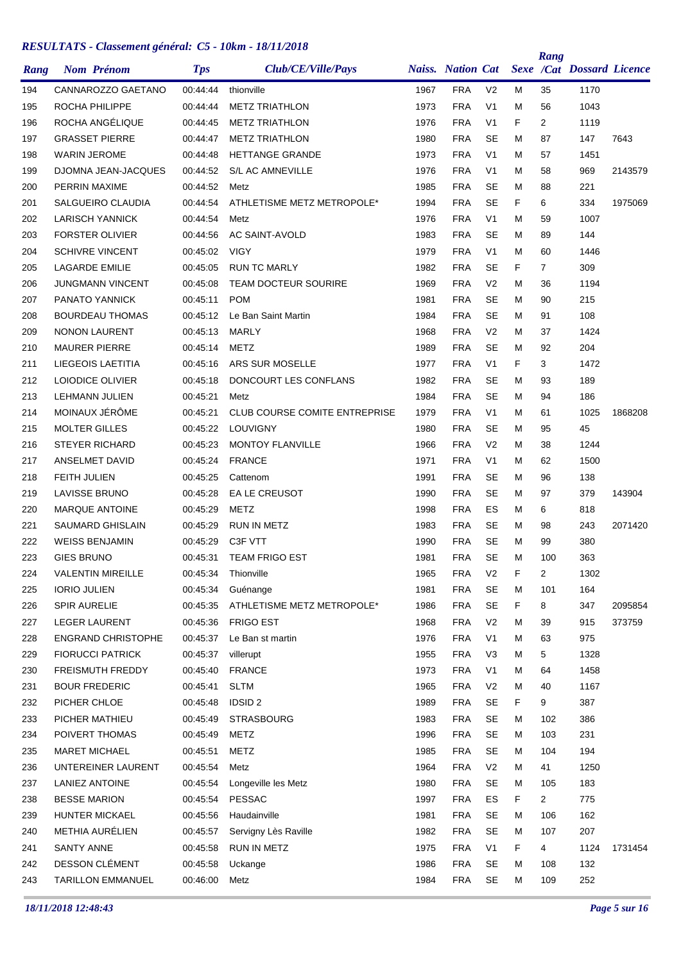| Rang | <b>Nom Prénom</b>          | <b>Tps</b> | Club/CE/Ville/Pays                   |      | <b>Naiss.</b> Nation Cat |                |    | Rang           | <b>Sexe /Cat Dossard Licence</b> |         |
|------|----------------------------|------------|--------------------------------------|------|--------------------------|----------------|----|----------------|----------------------------------|---------|
| 194  | CANNAROZZO GAETANO         | 00:44:44   | thionville                           | 1967 | <b>FRA</b>               | V <sub>2</sub> | М  | 35             | 1170                             |         |
| 195  | ROCHA PHILIPPE             | 00:44:44   | <b>METZ TRIATHLON</b>                | 1973 | <b>FRA</b>               | V <sub>1</sub> | М  | 56             | 1043                             |         |
| 196  | ROCHA ANGÉLIQUE            | 00:44:45   | <b>METZ TRIATHLON</b>                | 1976 | <b>FRA</b>               | V <sub>1</sub> | F  | $\overline{2}$ | 1119                             |         |
| 197  | <b>GRASSET PIERRE</b>      | 00:44:47   | <b>METZ TRIATHLON</b>                | 1980 | <b>FRA</b>               | <b>SE</b>      | М  | 87             | 147                              | 7643    |
| 198  | <b>WARIN JEROME</b>        | 00:44:48   | <b>HETTANGE GRANDE</b>               | 1973 | <b>FRA</b>               | V <sub>1</sub> | М  | 57             | 1451                             |         |
| 199  | <b>DJOMNA JEAN-JACQUES</b> | 00:44:52   | <b>S/L AC AMNEVILLE</b>              | 1976 | <b>FRA</b>               | V <sub>1</sub> | М  | 58             | 969                              | 2143579 |
| 200  | PERRIN MAXIME              | 00:44:52   | Metz                                 | 1985 | <b>FRA</b>               | <b>SE</b>      | М  | 88             | 221                              |         |
| 201  | <b>SALGUEIRO CLAUDIA</b>   | 00:44:54   | ATHLETISME METZ METROPOLE*           | 1994 | <b>FRA</b>               | <b>SE</b>      | F  | 6              | 334                              | 1975069 |
| 202  | <b>LARISCH YANNICK</b>     | 00:44:54   | Metz                                 | 1976 | <b>FRA</b>               | V <sub>1</sub> | М  | 59             | 1007                             |         |
| 203  | <b>FORSTER OLIVIER</b>     | 00:44:56   | AC SAINT-AVOLD                       | 1983 | <b>FRA</b>               | <b>SE</b>      | М  | 89             | 144                              |         |
| 204  | <b>SCHIVRE VINCENT</b>     | 00:45:02   | <b>VIGY</b>                          | 1979 | <b>FRA</b>               | V <sub>1</sub> | М  | 60             | 1446                             |         |
| 205  | <b>LAGARDE EMILIE</b>      | 00:45:05   | <b>RUN TC MARLY</b>                  | 1982 | <b>FRA</b>               | <b>SE</b>      | F  | 7              | 309                              |         |
| 206  | <b>JUNGMANN VINCENT</b>    | 00:45:08   | <b>TEAM DOCTEUR SOURIRE</b>          | 1969 | <b>FRA</b>               | V <sub>2</sub> | М  | 36             | 1194                             |         |
| 207  | <b>PANATO YANNICK</b>      | 00:45:11   | <b>POM</b>                           | 1981 | <b>FRA</b>               | <b>SE</b>      | М  | 90             | 215                              |         |
| 208  | <b>BOURDEAU THOMAS</b>     | 00:45:12   | Le Ban Saint Martin                  | 1984 | <b>FRA</b>               | <b>SE</b>      | М  | 91             | 108                              |         |
| 209  | <b>NONON LAURENT</b>       | 00:45:13   | MARLY                                | 1968 | <b>FRA</b>               | V <sub>2</sub> | м  | 37             | 1424                             |         |
| 210  | <b>MAURER PIERRE</b>       | 00:45:14   | <b>METZ</b>                          | 1989 | <b>FRA</b>               | <b>SE</b>      | М  | 92             | 204                              |         |
| 211  | LIEGEOIS LAETITIA          | 00:45:16   | ARS SUR MOSELLE                      | 1977 | <b>FRA</b>               | V <sub>1</sub> | F  | 3              | 1472                             |         |
| 212  | LOIODICE OLIVIER           | 00:45:18   | DONCOURT LES CONFLANS                | 1982 | <b>FRA</b>               | <b>SE</b>      | М  | 93             | 189                              |         |
| 213  | <b>LEHMANN JULIEN</b>      | 00:45:21   | Metz                                 | 1984 | <b>FRA</b>               | <b>SE</b>      | М  | 94             | 186                              |         |
| 214  | MOINAUX JÉRÔME             | 00:45:21   | <b>CLUB COURSE COMITE ENTREPRISE</b> | 1979 | <b>FRA</b>               | V <sub>1</sub> | M  | 61             | 1025                             | 1868208 |
| 215  | <b>MOLTER GILLES</b>       | 00:45:22   | LOUVIGNY                             | 1980 | <b>FRA</b>               | <b>SE</b>      | М  | 95             | 45                               |         |
| 216  | <b>STEYER RICHARD</b>      | 00:45:23   | <b>MONTOY FLANVILLE</b>              | 1966 | <b>FRA</b>               | V <sub>2</sub> | М  | 38             | 1244                             |         |
| 217  | ANSELMET DAVID             | 00:45:24   | <b>FRANCE</b>                        | 1971 | <b>FRA</b>               | V <sub>1</sub> | М  | 62             | 1500                             |         |
| 218  | <b>FEITH JULIEN</b>        | 00:45:25   | Cattenom                             | 1991 | <b>FRA</b>               | <b>SE</b>      | М  | 96             | 138                              |         |
| 219  | <b>LAVISSE BRUNO</b>       | 00:45:28   | EA LE CREUSOT                        | 1990 | <b>FRA</b>               | <b>SE</b>      | М  | 97             | 379                              | 143904  |
| 220  | <b>MARQUE ANTOINE</b>      | 00:45:29   | <b>METZ</b>                          | 1998 | <b>FRA</b>               | ES             | М  | 6              | 818                              |         |
| 221  | <b>SAUMARD GHISLAIN</b>    | 00:45:29   | <b>RUN IN METZ</b>                   | 1983 | <b>FRA</b>               | <b>SE</b>      | М  | 98             | 243                              | 2071420 |
| 222  | <b>WEISS BENJAMIN</b>      | 00:45:29   | C3F VTT                              | 1990 | <b>FRA</b>               | <b>SE</b>      | М  | 99             | 380                              |         |
| 223  | <b>GIES BRUNO</b>          | 00:45:31   | <b>TEAM FRIGO EST</b>                | 1981 | <b>FRA</b>               | <b>SE</b>      | М  | 100            | 363                              |         |
| 224  | <b>VALENTIN MIREILLE</b>   | 00:45:34   | Thionville                           | 1965 | <b>FRA</b>               | V <sub>2</sub> | F  | $\overline{c}$ | 1302                             |         |
| 225  | <b>IORIO JULIEN</b>        | 00:45:34   | Guénange                             | 1981 | <b>FRA</b>               | SE             | M  | 101            | 164                              |         |
| 226  | <b>SPIR AURELIE</b>        | 00:45:35   | ATHLETISME METZ METROPOLE*           | 1986 | <b>FRA</b>               | <b>SE</b>      | F  | 8              | 347                              | 2095854 |
| 227  | <b>LEGER LAURENT</b>       | 00:45:36   | <b>FRIGO EST</b>                     | 1968 | <b>FRA</b>               | V <sub>2</sub> | Μ  | 39             | 915                              | 373759  |
| 228  | <b>ENGRAND CHRISTOPHE</b>  | 00:45:37   | Le Ban st martin                     | 1976 | <b>FRA</b>               | V <sub>1</sub> | М  | 63             | 975                              |         |
| 229  | <b>FIORUCCI PATRICK</b>    | 00:45:37   | villerupt                            | 1955 | <b>FRA</b>               | V <sub>3</sub> | М  | 5              | 1328                             |         |
| 230  | FREISMUTH FREDDY           | 00:45:40   | <b>FRANCE</b>                        | 1973 | <b>FRA</b>               | V <sub>1</sub> | Μ  | 64             | 1458                             |         |
| 231  | <b>BOUR FREDERIC</b>       | 00:45:41   | <b>SLTM</b>                          | 1965 | <b>FRA</b>               | V <sub>2</sub> | M  | 40             | 1167                             |         |
| 232  | PICHER CHLOE               | 00:45:48   | <b>IDSID 2</b>                       | 1989 | <b>FRA</b>               | <b>SE</b>      | F. | 9              | 387                              |         |
| 233  | PICHER MATHIEU             | 00:45:49   | <b>STRASBOURG</b>                    | 1983 | <b>FRA</b>               | SE             | Μ  | 102            | 386                              |         |
| 234  | POIVERT THOMAS             | 00:45:49   | <b>METZ</b>                          | 1996 | <b>FRA</b>               | <b>SE</b>      | М  | 103            | 231                              |         |
| 235  | <b>MARET MICHAEL</b>       | 00:45:51   | <b>METZ</b>                          | 1985 | <b>FRA</b>               | <b>SE</b>      | м  | 104            | 194                              |         |
| 236  | UNTEREINER LAURENT         | 00:45:54   | Metz                                 | 1964 | <b>FRA</b>               | V <sub>2</sub> | М  | 41             | 1250                             |         |
| 237  | LANIEZ ANTOINE             | 00:45:54   | Longeville les Metz                  | 1980 | <b>FRA</b>               | <b>SE</b>      | M  | 105            | 183                              |         |
| 238  | <b>BESSE MARION</b>        | 00:45:54   | <b>PESSAC</b>                        | 1997 | <b>FRA</b>               | ES             | F  | $\overline{2}$ | 775                              |         |
| 239  | HUNTER MICKAEL             | 00:45:56   | Haudainville                         | 1981 | <b>FRA</b>               | <b>SE</b>      | Μ  | 106            | 162                              |         |
| 240  | METHIA AURÉLIEN            | 00:45:57   | Servigny Lès Raville                 | 1982 | <b>FRA</b>               | <b>SE</b>      | Μ  | 107            | 207                              |         |
| 241  | <b>SANTY ANNE</b>          | 00:45:58   | RUN IN METZ                          | 1975 | <b>FRA</b>               | V <sub>1</sub> | F. | 4              | 1124                             | 1731454 |
| 242  | DESSON CLÉMENT             | 00:45:58   | Uckange                              | 1986 | <b>FRA</b>               | <b>SE</b>      | М  | 108            | 132                              |         |
| 243  | <b>TARILLON EMMANUEL</b>   | 00:46:00   | Metz                                 | 1984 | <b>FRA</b>               | SE             | М  | 109            | 252                              |         |
|      |                            |            |                                      |      |                          |                |    |                |                                  |         |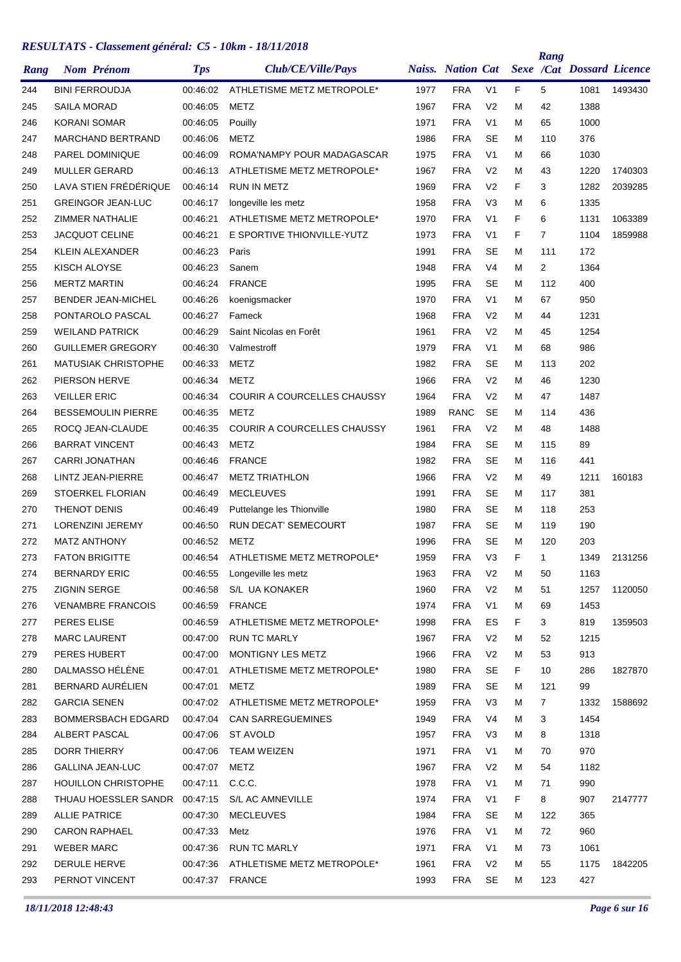| Rang | <b>Nom Prénom</b>                       | <b>Tps</b>      | Club/CE/Ville/Pays                              |      | <b>Naiss.</b> Nation Cat |                |    | Rang           | Sexe /Cat Dossard Licence |         |
|------|-----------------------------------------|-----------------|-------------------------------------------------|------|--------------------------|----------------|----|----------------|---------------------------|---------|
| 244  | <b>BINI FERROUDJA</b>                   | 00:46:02        | ATHLETISME METZ METROPOLE*                      | 1977 | <b>FRA</b>               | V <sub>1</sub> | F. | 5              | 1081                      | 1493430 |
| 245  | SAILA MORAD                             | 00:46:05        | METZ                                            | 1967 | <b>FRA</b>               | V <sub>2</sub> | м  | 42             | 1388                      |         |
| 246  | <b>KORANI SOMAR</b>                     | 00:46:05        | Pouilly                                         | 1971 | <b>FRA</b>               | V <sub>1</sub> | м  | 65             | 1000                      |         |
| 247  | MARCHAND BERTRAND                       | 00:46:06        | METZ                                            | 1986 | <b>FRA</b>               | <b>SE</b>      | М  | 110            | 376                       |         |
| 248  | PAREL DOMINIQUE                         | 00:46:09        | ROMA'NAMPY POUR MADAGASCAR                      | 1975 | <b>FRA</b>               | V <sub>1</sub> | М  | 66             | 1030                      |         |
| 249  | <b>MULLER GERARD</b>                    | 00:46:13        | ATHLETISME METZ METROPOLE*                      | 1967 | <b>FRA</b>               | V <sub>2</sub> | М  | 43             | 1220                      | 1740303 |
| 250  | LAVA STIEN FRÉDÉRIQUE                   | 00:46:14        | <b>RUN IN METZ</b>                              | 1969 | <b>FRA</b>               | V <sub>2</sub> | F  | 3              | 1282                      | 2039285 |
| 251  | <b>GREINGOR JEAN-LUC</b>                | 00:46:17        | longeville les metz                             | 1958 | <b>FRA</b>               | V <sub>3</sub> | M  | 6              | 1335                      |         |
| 252  | ZIMMER NATHALIE                         | 00:46:21        | ATHLETISME METZ METROPOLE*                      | 1970 | <b>FRA</b>               | V <sub>1</sub> | F  | 6              | 1131                      | 1063389 |
| 253  | <b>JACQUOT CELINE</b>                   | 00:46:21        | E SPORTIVE THIONVILLE-YUTZ                      | 1973 | <b>FRA</b>               | V <sub>1</sub> | F  | $\overline{7}$ | 1104                      | 1859988 |
| 254  | KLEIN ALEXANDER                         | 00:46:23        | Paris                                           | 1991 | <b>FRA</b>               | <b>SE</b>      | M  | 111            | 172                       |         |
| 255  | KISCH ALOYSE                            | 00:46:23        | Sanem                                           | 1948 | <b>FRA</b>               | V <sub>4</sub> | М  | 2              | 1364                      |         |
| 256  | <b>MERTZ MARTIN</b>                     | 00:46:24        | <b>FRANCE</b>                                   | 1995 | <b>FRA</b>               | SE             | м  | 112            | 400                       |         |
| 257  | <b>BENDER JEAN-MICHEL</b>               | 00:46:26        | koenigsmacker                                   | 1970 | <b>FRA</b>               | V <sub>1</sub> | М  | 67             | 950                       |         |
| 258  | PONTAROLO PASCAL                        | 00:46:27        | Fameck                                          | 1968 | <b>FRA</b>               | V <sub>2</sub> | м  | 44             | 1231                      |         |
| 259  | <b>WEILAND PATRICK</b>                  | 00:46:29        | Saint Nicolas en Forêt                          | 1961 | <b>FRA</b>               | V <sub>2</sub> | м  | 45             | 1254                      |         |
| 260  | <b>GUILLEMER GREGORY</b>                | 00:46:30        | Valmestroff                                     | 1979 | <b>FRA</b>               | V <sub>1</sub> | М  | 68             | 986                       |         |
| 261  | <b>MATUSIAK CHRISTOPHE</b>              | 00:46:33        | <b>METZ</b>                                     | 1982 | <b>FRA</b>               | SE             | М  | 113            | 202                       |         |
| 262  | PIERSON HERVE                           | 00:46:34        | <b>METZ</b>                                     | 1966 | <b>FRA</b>               | V <sub>2</sub> | М  | 46             | 1230                      |         |
| 263  | <b>VEILLER ERIC</b>                     | 00:46:34        | <b>COURIR A COURCELLES CHAUSSY</b>              | 1964 | <b>FRA</b>               | V <sub>2</sub> | м  | 47             | 1487                      |         |
| 264  | <b>BESSEMOULIN PIERRE</b>               | 00:46:35        | <b>METZ</b>                                     | 1989 | <b>RANC</b>              | <b>SE</b>      | м  | 114            | 436                       |         |
| 265  | ROCQ JEAN-CLAUDE                        | 00:46:35        | <b>COURIR A COURCELLES CHAUSSY</b>              | 1961 | <b>FRA</b>               | V <sub>2</sub> | М  | 48             | 1488                      |         |
| 266  | <b>BARRAT VINCENT</b>                   | 00:46:43        | <b>METZ</b>                                     | 1984 | <b>FRA</b>               | SE             | М  | 115            | 89                        |         |
| 267  | <b>CARRI JONATHAN</b>                   | 00:46:46        | <b>FRANCE</b>                                   | 1982 | <b>FRA</b>               | <b>SE</b>      | м  | 116            | 441                       |         |
| 268  | LINTZ JEAN-PIERRE                       | 00:46:47        | <b>METZ TRIATHLON</b>                           | 1966 | <b>FRA</b>               | V <sub>2</sub> | м  | 49             | 1211                      | 160183  |
| 269  | STOERKEL FLORIAN                        | 00:46:49        | <b>MECLEUVES</b>                                | 1991 | <b>FRA</b>               | <b>SE</b>      | М  | 117            | 381                       |         |
| 270  | <b>THENOT DENIS</b>                     | 00:46:49        | Puttelange les Thionville                       | 1980 | <b>FRA</b>               | <b>SE</b>      | М  | 118            | 253                       |         |
| 271  | LORENZINI JEREMY                        | 00:46:50        | RUN DECAT' SEMECOURT                            | 1987 | <b>FRA</b>               | <b>SE</b>      | М  | 119            | 190                       |         |
| 272  | <b>MATZ ANTHONY</b>                     | 00:46:52        | METZ                                            | 1996 | <b>FRA</b>               | SE             | М  | 120            | 203                       |         |
| 273  | <b>FATON BRIGITTE</b>                   | 00:46:54        | ATHLETISME METZ METROPOLE*                      | 1959 | <b>FRA</b>               | V <sub>3</sub> | F  | 1              | 1349                      | 2131256 |
| 274  | <b>BERNARDY ERIC</b>                    | 00:46:55        | Longeville les metz                             | 1963 | <b>FRA</b>               | V <sub>2</sub> | M  | 50             | 1163                      |         |
| 275  | ZIGNIN SERGE                            | 00:46:58        | S/L UA KONAKER                                  | 1960 | <b>FRA</b>               | V <sub>2</sub> | М  | 51             | 1257                      | 1120050 |
| 276  | <b>VENAMBRE FRANCOIS</b>                | 00:46:59        | FRANCE                                          | 1974 | <b>FRA</b>               | V <sub>1</sub> | м  | 69             | 1453                      |         |
|      | PERES ELISE                             |                 | ATHLETISME METZ METROPOLE*                      | 1998 | <b>FRA</b>               | ES             | F. |                | 819                       |         |
| 277  |                                         | 00:46:59        |                                                 |      |                          |                |    | 3              |                           | 1359503 |
| 278  | <b>MARC LAURENT</b>                     | 00:47:00        | <b>RUN TC MARLY</b>                             | 1967 | <b>FRA</b>               | V <sub>2</sub> | м  | 52             | 1215                      |         |
| 279  | PERES HUBERT                            | 00:47:00        | MONTIGNY LES METZ<br>ATHLETISME METZ METROPOLE* | 1966 | <b>FRA</b>               | V <sub>2</sub> | М  | 53             | 913                       |         |
| 280  | DALMASSO HÉLÈNE                         | 00:47:01        |                                                 | 1980 | <b>FRA</b>               | <b>SE</b>      | F. | 10             | 286                       | 1827870 |
| 281  | BERNARD AURÉLIEN<br><b>GARCIA SENEN</b> | 00:47:01        | METZ                                            | 1989 | <b>FRA</b>               | SE             | М  | 121            | 99                        |         |
| 282  |                                         | 00:47:02        | ATHLETISME METZ METROPOLE*                      | 1959 | <b>FRA</b>               | V <sub>3</sub> | М  | 7              | 1332                      | 1588692 |
| 283  | <b>BOMMERSBACH EDGARD</b>               | 00:47:04        | <b>CAN SARREGUEMINES</b>                        | 1949 | <b>FRA</b>               | V <sub>4</sub> | М  | 3              | 1454                      |         |
| 284  | ALBERT PASCAL                           | 00:47:06        | <b>ST AVOLD</b>                                 | 1957 | <b>FRA</b>               | V <sub>3</sub> | М  | 8              | 1318                      |         |
| 285  | <b>DORR THIERRY</b>                     | 00:47:06        | TEAM WEIZEN                                     | 1971 | <b>FRA</b>               | V <sub>1</sub> | М  | 70             | 970                       |         |
| 286  | <b>GALLINA JEAN-LUC</b>                 | 00:47:07        | METZ                                            | 1967 | <b>FRA</b>               | V <sub>2</sub> | М  | 54             | 1182                      |         |
| 287  | <b>HOUILLON CHRISTOPHE</b>              | 00:47:11 C.C.C. |                                                 | 1978 | <b>FRA</b>               | V <sub>1</sub> | М  | 71             | 990                       |         |
| 288  | THUAU HOESSLER SANDR 00:47:15           |                 | S/L AC AMNEVILLE                                | 1974 | <b>FRA</b>               | V <sub>1</sub> | F. | 8              | 907                       | 2147777 |
| 289  | <b>ALLIE PATRICE</b>                    | 00:47:30        | <b>MECLEUVES</b>                                | 1984 | <b>FRA</b>               | <b>SE</b>      | М  | 122            | 365                       |         |
| 290  | <b>CARON RAPHAEL</b>                    | 00:47:33        | Metz                                            | 1976 | <b>FRA</b>               | V <sub>1</sub> | М  | 72             | 960                       |         |
| 291  | <b>WEBER MARC</b>                       | 00:47:36        | <b>RUN TC MARLY</b>                             | 1971 | <b>FRA</b>               | V <sub>1</sub> | М  | 73             | 1061                      |         |
| 292  | DERULE HERVE                            | 00:47:36        | ATHLETISME METZ METROPOLE*                      | 1961 | <b>FRA</b>               | V <sub>2</sub> | М  | 55             | 1175                      | 1842205 |
| 293  | PERNOT VINCENT                          |                 | 00:47:37 FRANCE                                 | 1993 | <b>FRA</b>               | <b>SE</b>      | М  | 123            | 427                       |         |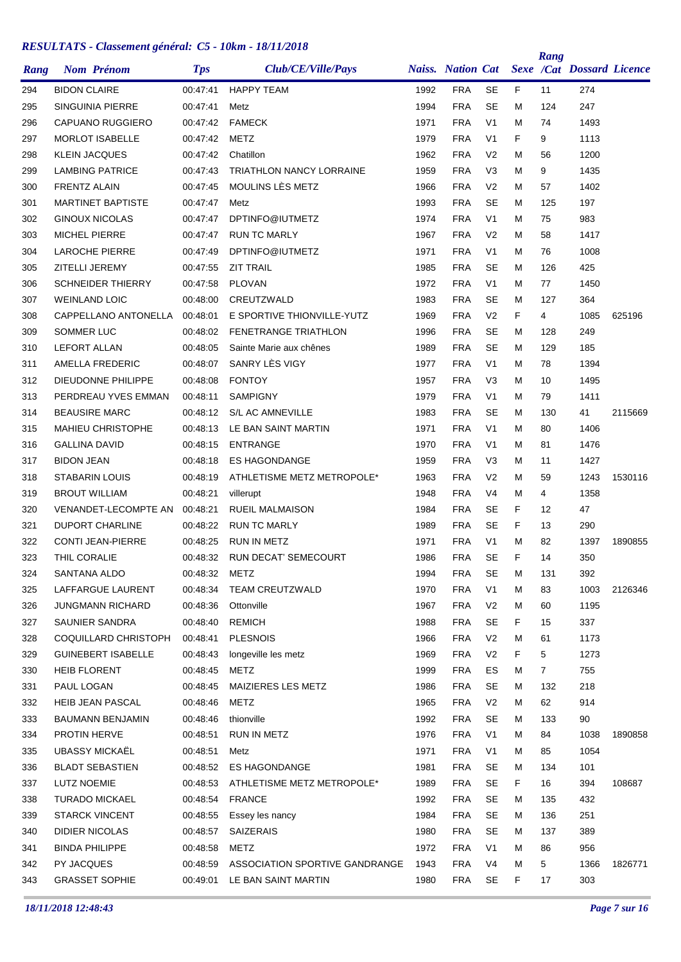|      |                       |                           |            |                                 |      |                          |                |    | Rang           |                                  |         |
|------|-----------------------|---------------------------|------------|---------------------------------|------|--------------------------|----------------|----|----------------|----------------------------------|---------|
| Rang |                       | <b>Nom Prénom</b>         | <b>Tps</b> | <b>Club/CE/Ville/Pays</b>       |      | <b>Naiss. Nation Cat</b> |                |    |                | <b>Sexe /Cat Dossard Licence</b> |         |
| 294  | <b>BIDON CLAIRE</b>   |                           | 00:47:41   | <b>HAPPY TEAM</b>               | 1992 | <b>FRA</b>               | <b>SE</b>      | F  | 11             | 274                              |         |
| 295  |                       | <b>SINGUINIA PIERRE</b>   | 00:47:41   | Metz                            | 1994 | <b>FRA</b>               | <b>SE</b>      | М  | 124            | 247                              |         |
| 296  |                       | <b>CAPUANO RUGGIERO</b>   | 00:47:42   | <b>FAMECK</b>                   | 1971 | <b>FRA</b>               | V <sub>1</sub> | М  | 74             | 1493                             |         |
| 297  |                       | <b>MORLOT ISABELLE</b>    | 00:47:42   | METZ                            | 1979 | <b>FRA</b>               | V <sub>1</sub> | F  | 9              | 1113                             |         |
| 298  | <b>KLEIN JACQUES</b>  |                           | 00:47:42   | Chatillon                       | 1962 | <b>FRA</b>               | V <sub>2</sub> | М  | 56             | 1200                             |         |
| 299  |                       | <b>LAMBING PATRICE</b>    | 00:47:43   | <b>TRIATHLON NANCY LORRAINE</b> | 1959 | <b>FRA</b>               | V <sub>3</sub> | М  | 9              | 1435                             |         |
| 300  | <b>FRENTZ ALAIN</b>   |                           | 00:47:45   | MOULINS LÈS METZ                | 1966 | <b>FRA</b>               | V <sub>2</sub> | М  | 57             | 1402                             |         |
| 301  |                       | <b>MARTINET BAPTISTE</b>  | 00:47:47   | Metz                            | 1993 | <b>FRA</b>               | <b>SE</b>      | М  | 125            | 197                              |         |
| 302  |                       | <b>GINOUX NICOLAS</b>     | 00:47:47   | DPTINFO@IUTMETZ                 | 1974 | <b>FRA</b>               | V <sub>1</sub> | М  | 75             | 983                              |         |
| 303  | <b>MICHEL PIERRE</b>  |                           | 00:47:47   | <b>RUN TC MARLY</b>             | 1967 | <b>FRA</b>               | V <sub>2</sub> | м  | 58             | 1417                             |         |
| 304  |                       | <b>LAROCHE PIERRE</b>     | 00:47:49   | DPTINFO@IUTMETZ                 | 1971 | <b>FRA</b>               | V <sub>1</sub> | М  | 76             | 1008                             |         |
| 305  | ZITELLI JEREMY        |                           | 00:47:55   | <b>ZIT TRAIL</b>                | 1985 | <b>FRA</b>               | SE             | М  | 126            | 425                              |         |
| 306  |                       | <b>SCHNEIDER THIERRY</b>  | 00:47:58   | <b>PLOVAN</b>                   | 1972 | <b>FRA</b>               | V <sub>1</sub> | М  | 77             | 1450                             |         |
| 307  | <b>WEINLAND LOIC</b>  |                           | 00:48:00   | CREUTZWALD                      | 1983 | <b>FRA</b>               | <b>SE</b>      | М  | 127            | 364                              |         |
| 308  |                       | CAPPELLANO ANTONELLA      | 00:48:01   | E SPORTIVE THIONVILLE-YUTZ      | 1969 | <b>FRA</b>               | V <sub>2</sub> | F  | 4              | 1085                             | 625196  |
| 309  | SOMMER LUC            |                           | 00:48:02   | <b>FENETRANGE TRIATHLON</b>     | 1996 | <b>FRA</b>               | <b>SE</b>      | м  | 128            | 249                              |         |
| 310  | <b>LEFORT ALLAN</b>   |                           | 00:48:05   | Sainte Marie aux chênes         | 1989 | <b>FRA</b>               | <b>SE</b>      | М  | 129            | 185                              |         |
| 311  |                       | AMELLA FREDERIC           | 00:48:07   | SANRY LÈS VIGY                  | 1977 | <b>FRA</b>               | V <sub>1</sub> | М  | 78             | 1394                             |         |
| 312  |                       | DIEUDONNE PHILIPPE        | 00:48:08   | <b>FONTOY</b>                   | 1957 | <b>FRA</b>               | V <sub>3</sub> | М  | 10             | 1495                             |         |
| 313  |                       | PERDREAU YVES EMMAN       | 00:48:11   | <b>SAMPIGNY</b>                 | 1979 | <b>FRA</b>               | V <sub>1</sub> | М  | 79             | 1411                             |         |
| 314  |                       | <b>BEAUSIRE MARC</b>      | 00:48:12   | S/L AC AMNEVILLE                | 1983 | <b>FRA</b>               | <b>SE</b>      | м  | 130            | 41                               | 2115669 |
| 315  |                       | <b>MAHIEU CHRISTOPHE</b>  | 00:48:13   | LE BAN SAINT MARTIN             | 1971 | <b>FRA</b>               | V <sub>1</sub> | М  | 80             | 1406                             |         |
| 316  | <b>GALLINA DAVID</b>  |                           | 00:48:15   | <b>ENTRANGE</b>                 | 1970 | <b>FRA</b>               | V <sub>1</sub> | Μ  | 81             | 1476                             |         |
| 317  | <b>BIDON JEAN</b>     |                           | 00:48:18   | <b>ES HAGONDANGE</b>            | 1959 | <b>FRA</b>               | V <sub>3</sub> | М  | 11             | 1427                             |         |
| 318  |                       | <b>STABARIN LOUIS</b>     | 00:48:19   | ATHLETISME METZ METROPOLE*      | 1963 | <b>FRA</b>               | V <sub>2</sub> | М  | 59             | 1243                             | 1530116 |
| 319  | <b>BROUT WILLIAM</b>  |                           | 00:48:21   | villerupt                       | 1948 | <b>FRA</b>               | V <sub>4</sub> | М  | 4              | 1358                             |         |
| 320  |                       | VENANDET-LECOMPTE AN      | 00:48:21   | <b>RUEIL MALMAISON</b>          | 1984 | <b>FRA</b>               | <b>SE</b>      | F  | 12             | 47                               |         |
| 321  |                       | <b>DUPORT CHARLINE</b>    | 00:48:22   | <b>RUN TC MARLY</b>             | 1989 | <b>FRA</b>               | <b>SE</b>      | F  | 13             | 290                              |         |
| 322  |                       | <b>CONTI JEAN-PIERRE</b>  | 00:48:25   | <b>RUN IN METZ</b>              | 1971 | <b>FRA</b>               | V <sub>1</sub> | М  | 82             | 1397                             | 1890855 |
| 323  | THIL CORALIE          |                           | 00:48:32   | <b>RUN DECAT' SEMECOURT</b>     | 1986 | <b>FRA</b>               | <b>SE</b>      | F  | 14             | 350                              |         |
| 324  | SANTANA ALDO          |                           | 00:48:32   | <b>METZ</b>                     | 1994 | <b>FRA</b>               | SE             | Μ  | 131            | 392                              |         |
| 325  |                       | LAFFARGUE LAURENT         | 00:48:34   | TEAM CREUTZWALD                 | 1970 | <b>FRA</b>               | V <sub>1</sub> | Μ  | 83             | 1003                             | 2126346 |
| 326  |                       | <b>JUNGMANN RICHARD</b>   | 00:48:36   | Ottonville                      | 1967 | <b>FRA</b>               | V2             | м  | 60             | 1195                             |         |
| 327  |                       | SAUNIER SANDRA            | 00:48:40   | <b>REMICH</b>                   | 1988 | <b>FRA</b>               | <b>SE</b>      | F  | 15             | 337                              |         |
| 328  |                       | COQUILLARD CHRISTOPH      | 00:48:41   | <b>PLESNOIS</b>                 | 1966 | <b>FRA</b>               | V <sub>2</sub> | Μ  | 61             | 1173                             |         |
| 329  |                       | <b>GUINEBERT ISABELLE</b> | 00:48:43   | longeville les metz             | 1969 | <b>FRA</b>               | V <sub>2</sub> | F. | 5              | 1273                             |         |
| 330  | <b>HEIB FLORENT</b>   |                           | 00:48:45   | <b>METZ</b>                     | 1999 | <b>FRA</b>               | ES             | м  | $\overline{7}$ | 755                              |         |
| 331  | PAUL LOGAN            |                           | 00:48:45   | MAIZIERES LES METZ              | 1986 | <b>FRA</b>               | <b>SE</b>      | Μ  | 132            | 218                              |         |
| 332  |                       | <b>HEIB JEAN PASCAL</b>   | 00:48:46   | <b>METZ</b>                     | 1965 | <b>FRA</b>               | V <sub>2</sub> | Μ  | 62             | 914                              |         |
| 333  |                       | <b>BAUMANN BENJAMIN</b>   | 00:48:46   | thionville                      | 1992 | <b>FRA</b>               | <b>SE</b>      | м  | 133            | 90                               |         |
| 334  | <b>PROTIN HERVE</b>   |                           | 00:48:51   | RUN IN METZ                     | 1976 | <b>FRA</b>               | V <sub>1</sub> | м  | 84             | 1038                             | 1890858 |
| 335  |                       | <b>UBASSY MICKAËL</b>     | 00:48:51   | Metz                            | 1971 | <b>FRA</b>               | V <sub>1</sub> | м  | 85             | 1054                             |         |
| 336  |                       | <b>BLADT SEBASTIEN</b>    | 00:48:52   | <b>ES HAGONDANGE</b>            | 1981 | <b>FRA</b>               | <b>SE</b>      | м  | 134            | 101                              |         |
| 337  | LUTZ NOEMIE           |                           | 00:48:53   | ATHLETISME METZ METROPOLE*      | 1989 | <b>FRA</b>               | <b>SE</b>      | F  | 16             | 394                              | 108687  |
| 338  |                       | <b>TURADO MICKAEL</b>     | 00:48:54   | FRANCE                          | 1992 | <b>FRA</b>               | <b>SE</b>      | Μ  | 135            | 432                              |         |
| 339  |                       | <b>STARCK VINCENT</b>     | 00:48:55   | Essey les nancy                 | 1984 | <b>FRA</b>               | <b>SE</b>      | Μ  | 136            | 251                              |         |
| 340  |                       | DIDIER NICOLAS            | 00:48:57   | SAIZERAIS                       | 1980 | <b>FRA</b>               | <b>SE</b>      | м  | 137            | 389                              |         |
| 341  | <b>BINDA PHILIPPE</b> |                           | 00:48:58   | <b>METZ</b>                     | 1972 | <b>FRA</b>               | V <sub>1</sub> | м  | 86             | 956                              |         |
| 342  | PY JACQUES            |                           | 00:48:59   | ASSOCIATION SPORTIVE GANDRANGE  | 1943 | <b>FRA</b>               | V4             | м  | 5              | 1366                             | 1826771 |
| 343  |                       | <b>GRASSET SOPHIE</b>     | 00:49:01   | LE BAN SAINT MARTIN             | 1980 | <b>FRA</b>               | <b>SE</b>      | F  | 17             | 303                              |         |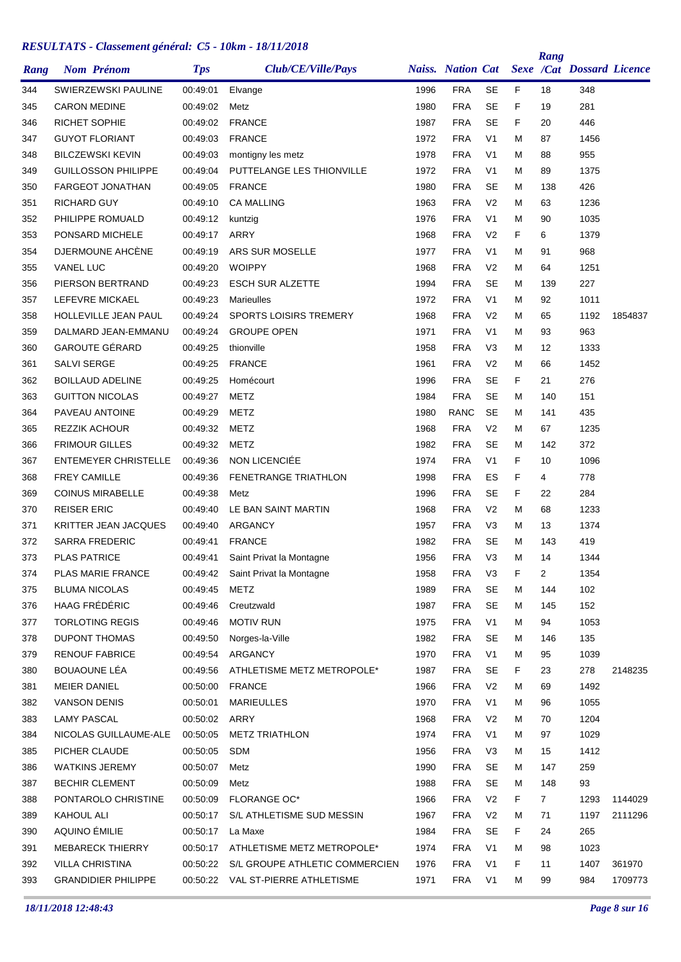| Rang | <b>Nom Prénom</b>           | <b>Tps</b> | Club/CE/Ville/Pays                |      | <b>Naiss.</b> Nation Cat |                |    | Rang           | <b>Sexe /Cat Dossard Licence</b> |         |
|------|-----------------------------|------------|-----------------------------------|------|--------------------------|----------------|----|----------------|----------------------------------|---------|
| 344  | SWIERZEWSKI PAULINE         | 00:49:01   | Elvange                           | 1996 | <b>FRA</b>               | <b>SE</b>      | F  | 18             | 348                              |         |
| 345  | <b>CARON MEDINE</b>         | 00:49:02   | Metz                              | 1980 | <b>FRA</b>               | <b>SE</b>      | F  | 19             | 281                              |         |
| 346  | <b>RICHET SOPHIE</b>        | 00:49:02   | <b>FRANCE</b>                     | 1987 | <b>FRA</b>               | <b>SE</b>      | F  | 20             | 446                              |         |
| 347  | <b>GUYOT FLORIANT</b>       | 00:49:03   | <b>FRANCE</b>                     | 1972 | <b>FRA</b>               | V <sub>1</sub> | М  | 87             | 1456                             |         |
| 348  | <b>BILCZEWSKI KEVIN</b>     | 00:49:03   | montigny les metz                 | 1978 | <b>FRA</b>               | V <sub>1</sub> | м  | 88             | 955                              |         |
| 349  | <b>GUILLOSSON PHILIPPE</b>  | 00:49:04   | PUTTELANGE LES THIONVILLE         | 1972 | <b>FRA</b>               | V <sub>1</sub> | М  | 89             | 1375                             |         |
| 350  | <b>FARGEOT JONATHAN</b>     | 00:49:05   | <b>FRANCE</b>                     | 1980 | <b>FRA</b>               | SE             | М  | 138            | 426                              |         |
| 351  | <b>RICHARD GUY</b>          | 00:49:10   | <b>CA MALLING</b>                 | 1963 | <b>FRA</b>               | V <sub>2</sub> | М  | 63             | 1236                             |         |
| 352  | PHILIPPE ROMUALD            | 00:49:12   | kuntzig                           | 1976 | <b>FRA</b>               | V <sub>1</sub> | М  | 90             | 1035                             |         |
| 353  | PONSARD MICHELE             | 00:49:17   | ARRY                              | 1968 | <b>FRA</b>               | V <sub>2</sub> | F  | 6              | 1379                             |         |
| 354  | DJERMOUNE AHCÈNE            | 00:49:19   | ARS SUR MOSELLE                   | 1977 | <b>FRA</b>               | V <sub>1</sub> | М  | 91             | 968                              |         |
| 355  | <b>VANEL LUC</b>            | 00:49:20   | <b>WOIPPY</b>                     | 1968 | <b>FRA</b>               | V <sub>2</sub> | М  | 64             | 1251                             |         |
| 356  | PIERSON BERTRAND            | 00:49:23   | <b>ESCH SUR ALZETTE</b>           | 1994 | <b>FRA</b>               | <b>SE</b>      | М  | 139            | 227                              |         |
| 357  | LEFEVRE MICKAEL             | 00:49:23   | <b>Marieulles</b>                 | 1972 | <b>FRA</b>               | V <sub>1</sub> | Μ  | 92             | 1011                             |         |
| 358  | HOLLEVILLE JEAN PAUL        | 00:49:24   | <b>SPORTS LOISIRS TREMERY</b>     | 1968 | <b>FRA</b>               | V <sub>2</sub> | М  | 65             | 1192                             | 1854837 |
| 359  | DALMARD JEAN-EMMANU         | 00:49:24   | <b>GROUPE OPEN</b>                | 1971 | <b>FRA</b>               | V <sub>1</sub> | м  | 93             | 963                              |         |
| 360  | <b>GAROUTE GÉRARD</b>       | 00:49:25   | thionville                        | 1958 | <b>FRA</b>               | V <sub>3</sub> | М  | 12             | 1333                             |         |
| 361  | <b>SALVI SERGE</b>          | 00:49:25   | <b>FRANCE</b>                     | 1961 | <b>FRA</b>               | V <sub>2</sub> | М  | 66             | 1452                             |         |
| 362  | <b>BOILLAUD ADELINE</b>     | 00:49:25   | Homécourt                         | 1996 | <b>FRA</b>               | SE             | F  | 21             | 276                              |         |
| 363  | <b>GUITTON NICOLAS</b>      | 00:49:27   | METZ                              | 1984 | <b>FRA</b>               | <b>SE</b>      | М  | 140            | 151                              |         |
| 364  | PAVEAU ANTOINE              | 00:49:29   | METZ                              | 1980 | <b>RANC</b>              | <b>SE</b>      | М  | 141            | 435                              |         |
| 365  | <b>REZZIK ACHOUR</b>        | 00:49:32   | METZ                              | 1968 | <b>FRA</b>               | V <sub>2</sub> | М  | 67             | 1235                             |         |
| 366  | <b>FRIMOUR GILLES</b>       | 00:49:32   | METZ                              | 1982 | <b>FRA</b>               | <b>SE</b>      | М  | 142            | 372                              |         |
| 367  | <b>ENTEMEYER CHRISTELLE</b> | 00:49:36   | NON LICENCIÉE                     | 1974 | <b>FRA</b>               | V <sub>1</sub> | F  | 10             | 1096                             |         |
| 368  | <b>FREY CAMILLE</b>         | 00:49:36   | <b>FENETRANGE TRIATHLON</b>       | 1998 | <b>FRA</b>               | ES             | F  | 4              | 778                              |         |
| 369  | <b>COINUS MIRABELLE</b>     | 00:49:38   | Metz                              | 1996 | <b>FRA</b>               | <b>SE</b>      | F  | 22             | 284                              |         |
| 370  | <b>REISER ERIC</b>          | 00:49:40   | LE BAN SAINT MARTIN               | 1968 | <b>FRA</b>               | V <sub>2</sub> | М  | 68             | 1233                             |         |
| 371  | <b>KRITTER JEAN JACQUES</b> | 00:49:40   | ARGANCY                           | 1957 | <b>FRA</b>               | V <sub>3</sub> | М  | 13             | 1374                             |         |
| 372  | <b>SARRA FREDERIC</b>       | 00:49:41   | <b>FRANCE</b>                     | 1982 | <b>FRA</b>               | SE             | М  | 143            | 419                              |         |
| 373  | <b>PLAS PATRICE</b>         | 00:49:41   | Saint Privat la Montagne          | 1956 | <b>FRA</b>               | V <sub>3</sub> | М  | 14             | 1344                             |         |
| 374  | PLAS MARIE FRANCE           | 00:49:42   | Saint Privat la Montagne          | 1958 | <b>FRA</b>               | V <sub>3</sub> | F  | $\overline{c}$ | 1354                             |         |
| 375  | <b>BLUMA NICOLAS</b>        | 00:49:45   | METZ                              | 1989 | <b>FRA</b>               | <b>SE</b>      | м  | 144            | 102                              |         |
| 376  | HAAG FRÉDÉRIC               | 00:49:46   | Creutzwald                        | 1987 | <b>FRA</b>               | <b>SE</b>      | М  | 145            | 152                              |         |
| 377  | <b>TORLOTING REGIS</b>      | 00:49:46   | <b>MOTIV RUN</b>                  | 1975 | <b>FRA</b>               | V <sub>1</sub> | Μ  | 94             | 1053                             |         |
| 378  | <b>DUPONT THOMAS</b>        | 00:49:50   | Norges-la-Ville                   | 1982 | <b>FRA</b>               | <b>SE</b>      | м  | 146            | 135                              |         |
| 379  | <b>RENOUF FABRICE</b>       | 00:49:54   | ARGANCY                           | 1970 | <b>FRA</b>               | V <sub>1</sub> | м  | 95             | 1039                             |         |
| 380  | BOUAOUNE LÉA                | 00:49:56   | ATHLETISME METZ METROPOLE*        | 1987 | <b>FRA</b>               | <b>SE</b>      | F. | 23             | 278                              | 2148235 |
| 381  | <b>MEIER DANIEL</b>         | 00:50:00   | <b>FRANCE</b>                     | 1966 | <b>FRA</b>               | V <sub>2</sub> | Μ  | 69             | 1492                             |         |
| 382  | <b>VANSON DENIS</b>         | 00:50:01   | MARIEULLES                        | 1970 | <b>FRA</b>               | V1             | м  | 96             | 1055                             |         |
| 383  | <b>LAMY PASCAL</b>          | 00:50:02   | ARRY                              | 1968 | <b>FRA</b>               | V <sub>2</sub> | м  | 70             | 1204                             |         |
| 384  | NICOLAS GUILLAUME-ALE       | 00:50:05   | <b>METZ TRIATHLON</b>             | 1974 | <b>FRA</b>               | V <sub>1</sub> | Μ  | 97             | 1029                             |         |
| 385  | PICHER CLAUDE               | 00:50:05   | <b>SDM</b>                        | 1956 | <b>FRA</b>               | V <sub>3</sub> | м  | 15             | 1412                             |         |
| 386  | <b>WATKINS JEREMY</b>       | 00:50:07   | Metz                              | 1990 | <b>FRA</b>               | <b>SE</b>      | м  | 147            | 259                              |         |
| 387  | <b>BECHIR CLEMENT</b>       | 00:50:09   | Metz                              | 1988 | <b>FRA</b>               | <b>SE</b>      | Μ  | 148            | 93                               |         |
| 388  | PONTAROLO CHRISTINE         |            | 00:50:09 FLORANGE OC*             | 1966 | <b>FRA</b>               | V <sub>2</sub> | F  | $\overline{7}$ | 1293                             | 1144029 |
| 389  | KAHOUL ALI                  | 00:50:17   | S/L ATHLETISME SUD MESSIN         | 1967 | <b>FRA</b>               | V <sub>2</sub> | м  | 71             | 1197                             | 2111296 |
| 390  | AQUINO ÉMILIE               | 00:50:17   | La Maxe                           | 1984 | <b>FRA</b>               | <b>SE</b>      | F  | 24             | 265                              |         |
| 391  | <b>MEBARECK THIERRY</b>     | 00:50:17   | ATHLETISME METZ METROPOLE*        | 1974 | <b>FRA</b>               | V <sub>1</sub> | м  | 98             | 1023                             |         |
| 392  | <b>VILLA CHRISTINA</b>      | 00:50:22   | S/L GROUPE ATHLETIC COMMERCIEN    | 1976 | <b>FRA</b>               | V <sub>1</sub> | F  | 11             | 1407                             | 361970  |
| 393  | <b>GRANDIDIER PHILIPPE</b>  |            | 00:50:22 VAL ST-PIERRE ATHLETISME | 1971 | <b>FRA</b>               | V <sub>1</sub> | м  | 99             | 984                              | 1709773 |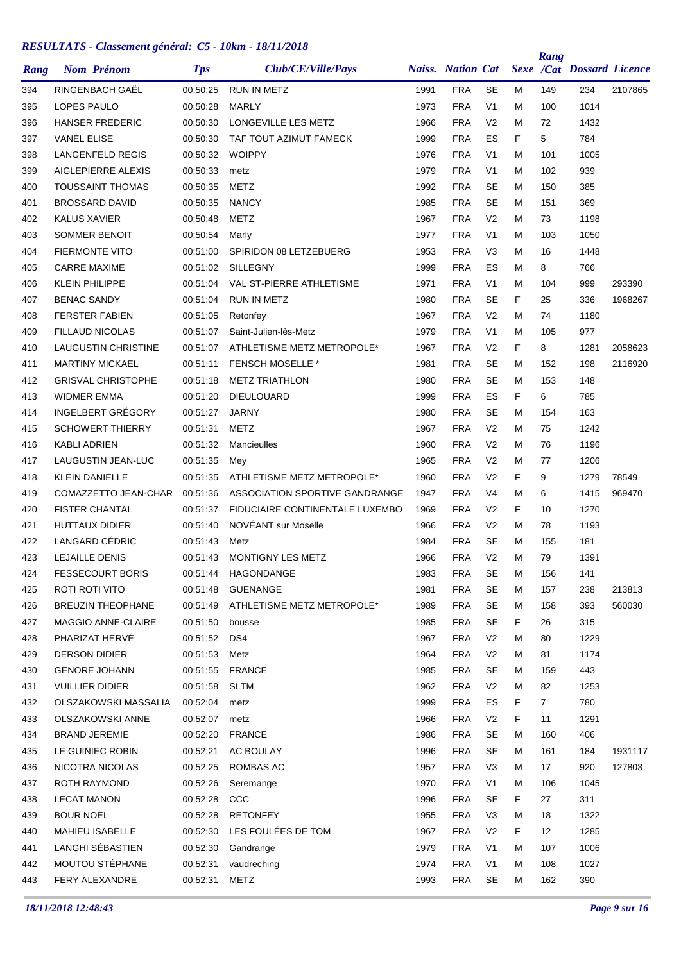| Rang | <b>Nom Prénom</b>           | <b>Tps</b> | Club/CE/Ville/Pays              |      | <b>Naiss. Nation Cat</b> |                |   | Rang           | <b>Sexe /Cat Dossard Licence</b> |         |
|------|-----------------------------|------------|---------------------------------|------|--------------------------|----------------|---|----------------|----------------------------------|---------|
| 394  | RINGENBACH GAËL             | 00:50:25   | <b>RUN IN METZ</b>              | 1991 | <b>FRA</b>               | <b>SE</b>      | М | 149            | 234                              | 2107865 |
| 395  | LOPES PAULO                 | 00:50:28   | <b>MARLY</b>                    | 1973 | <b>FRA</b>               | V <sub>1</sub> | Μ | 100            | 1014                             |         |
| 396  | <b>HANSER FREDERIC</b>      | 00:50:30   | LONGEVILLE LES METZ             | 1966 | <b>FRA</b>               | V <sub>2</sub> | М | 72             | 1432                             |         |
| 397  | <b>VANEL ELISE</b>          | 00:50:30   | TAF TOUT AZIMUT FAMECK          | 1999 | <b>FRA</b>               | ES             | F | 5              | 784                              |         |
| 398  | LANGENFELD REGIS            | 00:50:32   | <b>WOIPPY</b>                   | 1976 | <b>FRA</b>               | V <sub>1</sub> | М | 101            | 1005                             |         |
| 399  | AIGLEPIERRE ALEXIS          | 00:50:33   | metz                            | 1979 | <b>FRA</b>               | V <sub>1</sub> | Μ | 102            | 939                              |         |
| 400  | <b>TOUSSAINT THOMAS</b>     | 00:50:35   | <b>METZ</b>                     | 1992 | <b>FRA</b>               | SE             | Μ | 150            | 385                              |         |
| 401  | <b>BROSSARD DAVID</b>       | 00:50:35   | <b>NANCY</b>                    | 1985 | <b>FRA</b>               | <b>SE</b>      | Μ | 151            | 369                              |         |
| 402  | <b>KALUS XAVIER</b>         | 00:50:48   | <b>METZ</b>                     | 1967 | <b>FRA</b>               | V <sub>2</sub> | Μ | 73             | 1198                             |         |
| 403  | SOMMER BENOIT               | 00:50:54   | Marly                           | 1977 | <b>FRA</b>               | V <sub>1</sub> | М | 103            | 1050                             |         |
| 404  | <b>FIERMONTE VITO</b>       | 00:51:00   | SPIRIDON 08 LETZEBUERG          | 1953 | <b>FRA</b>               | V <sub>3</sub> | Μ | 16             | 1448                             |         |
| 405  | <b>CARRE MAXIME</b>         | 00:51:02   | SILLEGNY                        | 1999 | <b>FRA</b>               | ES             | Μ | 8              | 766                              |         |
| 406  | <b>KLEIN PHILIPPE</b>       | 00:51:04   | VAL ST-PIERRE ATHLETISME        | 1971 | <b>FRA</b>               | V <sub>1</sub> | М | 104            | 999                              | 293390  |
| 407  | <b>BENAC SANDY</b>          | 00:51:04   | <b>RUN IN METZ</b>              | 1980 | <b>FRA</b>               | SE             | F | 25             | 336                              | 1968267 |
| 408  | <b>FERSTER FABIEN</b>       | 00:51:05   | Retonfey                        | 1967 | <b>FRA</b>               | V <sub>2</sub> | М | 74             | 1180                             |         |
| 409  | <b>FILLAUD NICOLAS</b>      | 00:51:07   | Saint-Julien-lès-Metz           | 1979 | <b>FRA</b>               | V <sub>1</sub> | Μ | 105            | 977                              |         |
| 410  | <b>LAUGUSTIN CHRISTINE</b>  | 00:51:07   | ATHLETISME METZ METROPOLE*      | 1967 | <b>FRA</b>               | V <sub>2</sub> | F | 8              | 1281                             | 2058623 |
| 411  | <b>MARTINY MICKAEL</b>      | 00:51:11   | <b>FENSCH MOSELLE *</b>         | 1981 | <b>FRA</b>               | <b>SE</b>      | Μ | 152            | 198                              | 2116920 |
| 412  | <b>GRISVAL CHRISTOPHE</b>   | 00:51:18   | <b>METZ TRIATHLON</b>           | 1980 | <b>FRA</b>               | SE             | Μ | 153            | 148                              |         |
| 413  | <b>WIDMER EMMA</b>          | 00:51:20   | <b>DIEULOUARD</b>               | 1999 | <b>FRA</b>               | ES             | F | 6              | 785                              |         |
| 414  | INGELBERT GRÉGORY           | 00:51:27   | <b>JARNY</b>                    | 1980 | <b>FRA</b>               | <b>SE</b>      | Μ | 154            | 163                              |         |
| 415  | <b>SCHOWERT THIERRY</b>     | 00:51:31   | <b>METZ</b>                     | 1967 | <b>FRA</b>               | V <sub>2</sub> | М | 75             | 1242                             |         |
| 416  | KABLI ADRIEN                | 00:51:32   | Mancieulles                     | 1960 | <b>FRA</b>               | V <sub>2</sub> | Μ | 76             | 1196                             |         |
| 417  | LAUGUSTIN JEAN-LUC          | 00:51:35   | Mey                             | 1965 | <b>FRA</b>               | V <sub>2</sub> | Μ | 77             | 1206                             |         |
| 418  | <b>KLEIN DANIELLE</b>       | 00:51:35   | ATHLETISME METZ METROPOLE*      | 1960 | <b>FRA</b>               | V <sub>2</sub> | F | 9              | 1279                             | 78549   |
| 419  | COMAZZETTO JEAN-CHAR        | 00:51:36   | ASSOCIATION SPORTIVE GANDRANGE  | 1947 | <b>FRA</b>               | V4             | Μ | 6              | 1415                             | 969470  |
| 420  | <b>FISTER CHANTAL</b>       | 00:51:37   | FIDUCIAIRE CONTINENTALE LUXEMBO | 1969 | <b>FRA</b>               | V <sub>2</sub> | F | 10             | 1270                             |         |
| 421  | <b>HUTTAUX DIDIER</b>       | 00:51:40   | NOVÉANT sur Moselle             | 1966 | <b>FRA</b>               | V <sub>2</sub> | Μ | 78             | 1193                             |         |
| 422  | LANGARD CÉDRIC              | 00:51:43   | Metz                            | 1984 | <b>FRA</b>               | SE             | Μ | 155            | 181                              |         |
| 423  | <b>LEJAILLE DENIS</b>       | 00:51:43   | MONTIGNY LES METZ               | 1966 | <b>FRA</b>               | V <sub>2</sub> | M | 79             | 1391                             |         |
| 424  | <b>FESSECOURT BORIS</b>     | 00:51:44   | HAGONDANGE                      | 1983 | <b>FRA</b>               | <b>SE</b>      | Μ | 156            | 141                              |         |
| 425  | ROTI ROTI VITO              | 00:51:48   | <b>GUENANGE</b>                 | 1981 | <b>FRA</b>               | <b>SE</b>      | Μ | 157            | 238                              | 213813  |
| 426  | <b>BREUZIN THEOPHANE</b>    | 00:51:49   | ATHLETISME METZ METROPOLE*      | 1989 | <b>FRA</b>               | SE             | Μ | 158            | 393                              | 560030  |
| 427  | MAGGIO ANNE-CLAIRE          | 00:51:50   | bousse                          | 1985 | <b>FRA</b>               | <b>SE</b>      | F | 26             | 315                              |         |
| 428  | PHARIZAT HERVÉ              | 00:51:52   | DS4                             | 1967 | <b>FRA</b>               | V <sub>2</sub> | M | 80             | 1229                             |         |
| 429  | <b>DERSON DIDIER</b>        | 00:51:53   | Metz                            | 1964 | <b>FRA</b>               | V <sub>2</sub> | Μ | 81             | 1174                             |         |
| 430  | <b>GENORE JOHANN</b>        | 00:51:55   | <b>FRANCE</b>                   | 1985 | <b>FRA</b>               | <b>SE</b>      | Μ | 159            | 443                              |         |
| 431  | <b>VUILLIER DIDIER</b>      | 00:51:58   | <b>SLTM</b>                     | 1962 | <b>FRA</b>               | V <sub>2</sub> | Μ | 82             | 1253                             |         |
| 432  | <b>OLSZAKOWSKI MASSALIA</b> | 00:52:04   | metz                            | 1999 | <b>FRA</b>               | ES             | F | $\overline{7}$ | 780                              |         |
| 433  | <b>OLSZAKOWSKI ANNE</b>     | 00:52:07   | metz                            | 1966 | <b>FRA</b>               | V <sub>2</sub> | F | 11             | 1291                             |         |
| 434  | <b>BRAND JEREMIE</b>        | 00:52:20   | <b>FRANCE</b>                   | 1986 | <b>FRA</b>               | <b>SE</b>      | Μ | 160            | 406                              |         |
| 435  | LE GUINIEC ROBIN            | 00:52:21   | AC BOULAY                       | 1996 | <b>FRA</b>               | <b>SE</b>      | Μ | 161            | 184                              | 1931117 |
| 436  | NICOTRA NICOLAS             | 00:52:25   | ROMBAS AC                       | 1957 | <b>FRA</b>               | V <sub>3</sub> | Μ | 17             | 920                              | 127803  |
| 437  | ROTH RAYMOND                | 00:52:26   | Seremange                       | 1970 | <b>FRA</b>               | V <sub>1</sub> | Μ | 106            | 1045                             |         |
| 438  | <b>LECAT MANON</b>          | 00:52:28   | CCC                             | 1996 | <b>FRA</b>               | <b>SE</b>      | F | 27             | 311                              |         |
| 439  | <b>BOUR NOËL</b>            | 00:52:28   | <b>RETONFEY</b>                 | 1955 | <b>FRA</b>               | V <sub>3</sub> | Μ | 18             | 1322                             |         |
| 440  | <b>MAHIEU ISABELLE</b>      | 00:52:30   | LES FOULÉES DE TOM              | 1967 | <b>FRA</b>               | V <sub>2</sub> | F | 12             | 1285                             |         |
| 441  | LANGHI SÉBASTIEN            | 00:52:30   |                                 | 1979 | <b>FRA</b>               | V <sub>1</sub> | М | 107            | 1006                             |         |
|      | MOUTOU STÉPHANE             |            | Gandrange                       |      |                          |                |   |                |                                  |         |
| 442  |                             | 00:52:31   | vaudreching                     | 1974 | <b>FRA</b>               | V <sub>1</sub> | М | 108            | 1027                             |         |
| 443  | FERY ALEXANDRE              | 00:52:31   | METZ                            | 1993 | <b>FRA</b>               | <b>SE</b>      | Μ | 162            | 390                              |         |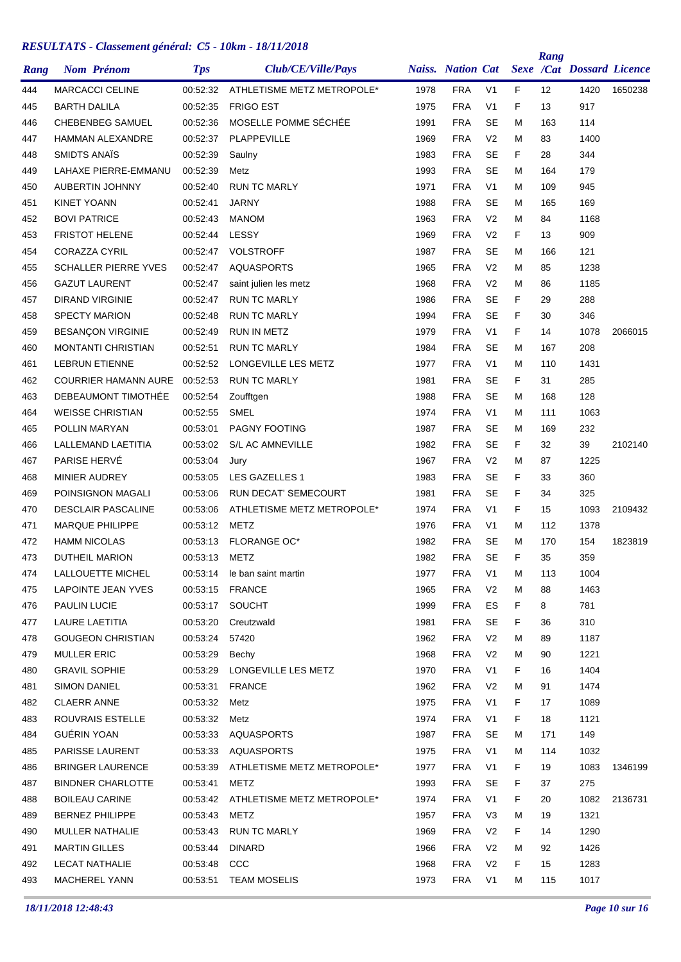| Rang |                      | <b>Nom Prénom</b>           | <b>Tps</b> | Club/CE/Ville/Pays                  |              | <b>Naiss.</b> Nation Cat |                                  |    | Rang              | <b>Sexe /Cat Dossard Licence</b> |         |
|------|----------------------|-----------------------------|------------|-------------------------------------|--------------|--------------------------|----------------------------------|----|-------------------|----------------------------------|---------|
| 444  |                      | <b>MARCACCI CELINE</b>      | 00:52:32   | ATHLETISME METZ METROPOLE*          | 1978         | <b>FRA</b>               | V <sub>1</sub>                   | F  | $12 \overline{ }$ | 1420                             | 1650238 |
| 445  | <b>BARTH DALILA</b>  |                             | 00:52:35   | <b>FRIGO EST</b>                    | 1975         | <b>FRA</b>               | V <sub>1</sub>                   | F  | 13                | 917                              |         |
| 446  |                      | <b>CHEBENBEG SAMUEL</b>     | 00:52:36   | MOSELLE POMME SÉCHÉE                | 1991         | <b>FRA</b>               | SE                               | M  | 163               | 114                              |         |
| 447  |                      | <b>HAMMAN ALEXANDRE</b>     | 00:52:37   | PLAPPEVILLE                         | 1969         | <b>FRA</b>               | V <sub>2</sub>                   | M  | 83                | 1400                             |         |
| 448  | SMIDTS ANAIS         |                             | 00:52:39   | Saulny                              | 1983         | <b>FRA</b>               | SE                               | F  | 28                | 344                              |         |
| 449  |                      | <b>LAHAXE PIERRE-EMMANU</b> | 00:52:39   | Metz                                | 1993         | <b>FRA</b>               | <b>SE</b>                        | м  | 164               | 179                              |         |
| 450  |                      | <b>AUBERTIN JOHNNY</b>      | 00:52:40   | <b>RUN TC MARLY</b>                 | 1971         | <b>FRA</b>               | V1                               | м  | 109               | 945                              |         |
| 451  | <b>KINET YOANN</b>   |                             | 00:52:41   | <b>JARNY</b>                        | 1988         | <b>FRA</b>               | SE                               | M  | 165               | 169                              |         |
| 452  | <b>BOVI PATRICE</b>  |                             | 00:52:43   | <b>MANOM</b>                        | 1963         | <b>FRA</b>               | V <sub>2</sub>                   | м  | 84                | 1168                             |         |
| 453  |                      | <b>FRISTOT HELENE</b>       | 00:52:44   | LESSY                               | 1969         | <b>FRA</b>               | V <sub>2</sub>                   | F  | 13                | 909                              |         |
| 454  | <b>CORAZZA CYRIL</b> |                             | 00:52:47   | <b>VOLSTROFF</b>                    | 1987         | <b>FRA</b>               | <b>SE</b>                        | M  | 166               | 121                              |         |
| 455  |                      | <b>SCHALLER PIERRE YVES</b> | 00:52:47   | <b>AQUASPORTS</b>                   | 1965         | <b>FRA</b>               | V <sub>2</sub>                   | м  | 85                | 1238                             |         |
| 456  |                      | <b>GAZUT LAURENT</b>        | 00:52:47   | saint julien les metz               | 1968         | <b>FRA</b>               | V <sub>2</sub>                   | M  | 86                | 1185                             |         |
| 457  |                      | <b>DIRAND VIRGINIE</b>      | 00:52:47   | <b>RUN TC MARLY</b>                 | 1986         | <b>FRA</b>               | <b>SE</b>                        | F  | 29                | 288                              |         |
| 458  |                      | <b>SPECTY MARION</b>        | 00:52:48   | <b>RUN TC MARLY</b>                 | 1994         | <b>FRA</b>               | SE                               | F  | 30                | 346                              |         |
| 459  |                      | <b>BESANÇON VIRGINIE</b>    | 00:52:49   | <b>RUN IN METZ</b>                  | 1979         | <b>FRA</b>               | V <sub>1</sub>                   | F  | 14                | 1078                             | 2066015 |
| 460  |                      | <b>MONTANTI CHRISTIAN</b>   | 00:52:51   | <b>RUN TC MARLY</b>                 | 1984         | <b>FRA</b>               | <b>SE</b>                        | м  | 167               | 208                              |         |
| 461  |                      | <b>LEBRUN ETIENNE</b>       | 00:52:52   | LONGEVILLE LES METZ                 | 1977         | <b>FRA</b>               | V <sub>1</sub>                   | M  | 110               | 1431                             |         |
| 462  |                      | <b>COURRIER HAMANN AURE</b> | 00:52:53   | <b>RUN TC MARLY</b>                 | 1981         | <b>FRA</b>               | SE                               | F  | 31                | 285                              |         |
| 463  |                      | DEBEAUMONT TIMOTHÉE         | 00:52:54   | Zoufftgen                           | 1988         | <b>FRA</b>               | <b>SE</b>                        | м  | 168               | 128                              |         |
| 464  |                      | <b>WEISSE CHRISTIAN</b>     | 00:52:55   | <b>SMEL</b>                         | 1974         | <b>FRA</b>               | V <sub>1</sub>                   | м  | 111               | 1063                             |         |
| 465  |                      | POLLIN MARYAN               | 00:53:01   | PAGNY FOOTING                       | 1987         | <b>FRA</b>               | SE                               | м  | 169               | 232                              |         |
| 466  |                      | LALLEMAND LAETITIA          | 00:53:02   | <b>S/L AC AMNEVILLE</b>             | 1982         | <b>FRA</b>               | <b>SE</b>                        | F  | 32                | 39                               | 2102140 |
| 467  | PARISE HERVÉ         |                             | 00:53:04   | Jury                                | 1967         | <b>FRA</b>               | V <sub>2</sub>                   | M  | 87                | 1225                             |         |
| 468  | <b>MINIER AUDREY</b> |                             | 00:53:05   | LES GAZELLES 1                      | 1983         | <b>FRA</b>               | SE                               | F  | 33                | 360                              |         |
| 469  |                      | POINSIGNON MAGALI           | 00:53:06   | <b>RUN DECAT' SEMECOURT</b>         | 1981         | <b>FRA</b>               | <b>SE</b>                        | F  | 34                | 325                              |         |
| 470  |                      | <b>DESCLAIR PASCALINE</b>   | 00:53:06   | ATHLETISME METZ METROPOLE*          | 1974         | <b>FRA</b>               | V <sub>1</sub>                   | F  | 15                | 1093                             | 2109432 |
| 471  |                      | <b>MARQUE PHILIPPE</b>      | 00:53:12   | METZ                                | 1976         | <b>FRA</b>               | V <sub>1</sub>                   | M  | 112               | 1378                             |         |
| 472  | <b>HAMM NICOLAS</b>  |                             | 00:53:13   | <b>FLORANGE OC*</b>                 | 1982         | <b>FRA</b>               | SE                               | M  | 170               | 154                              | 1823819 |
| 473  |                      | DUTHEIL MARION              | 00:53:13   | METZ                                | 1982         | <b>FRA</b>               | <b>SE</b>                        | F  | 35                | 359                              |         |
| 474  |                      | LALLOUETTE MICHEL           | 00:53:14   | le ban saint martin                 | 1977         | <b>FRA</b>               | V <sub>1</sub>                   | M  | 113               | 1004                             |         |
| 475  |                      | LAPOINTE JEAN YVES          |            | 00:53:15 FRANCE                     | 1965         | <b>FRA</b>               | V <sub>2</sub>                   | м  | 88                | 1463                             |         |
| 476  | <b>PAULIN LUCIE</b>  |                             |            | 00:53:17 SOUCHT                     | 1999         | <b>FRA</b>               | ES                               | F  | 8                 | 781                              |         |
| 477  |                      | LAURE LAETITIA              | 00:53:20   | Creutzwald                          | 1981         | <b>FRA</b>               | <b>SE</b>                        | F  | 36                | 310                              |         |
| 478  |                      | <b>GOUGEON CHRISTIAN</b>    | 00:53:24   | 57420                               | 1962         | <b>FRA</b>               | V <sub>2</sub>                   | M  | 89                | 1187                             |         |
|      | <b>MULLER ERIC</b>   |                             | 00:53:29   |                                     | 1968         | <b>FRA</b>               | V <sub>2</sub>                   | м  |                   | 1221                             |         |
| 479  | <b>GRAVIL SOPHIE</b> |                             | 00:53:29   | Bechy<br>LONGEVILLE LES METZ        | 1970         | <b>FRA</b>               | V <sub>1</sub>                   | F. | 90                | 1404                             |         |
| 480  |                      |                             |            |                                     |              |                          |                                  |    | 16                |                                  |         |
| 481  | <b>SIMON DANIEL</b>  |                             | 00:53:31   | <b>FRANCE</b>                       | 1962<br>1975 | <b>FRA</b><br><b>FRA</b> | V <sub>2</sub><br>V <sub>1</sub> | м  | 91                | 1474                             |         |
| 482  | <b>CLAERR ANNE</b>   |                             | 00:53:32   | Metz                                |              |                          |                                  | F  | 17                | 1089                             |         |
| 483  |                      | ROUVRAIS ESTELLE            | 00:53:32   | Metz                                | 1974         | <b>FRA</b>               | V <sub>1</sub>                   | F  | 18                | 1121                             |         |
| 484  | GUÉRIN YOAN          |                             | 00:53:33   | AQUASPORTS                          | 1987         | <b>FRA</b>               | <b>SE</b>                        | м  | 171               | 149                              |         |
| 485  |                      | PARISSE LAURENT             | 00:53:33   | AQUASPORTS                          | 1975         | <b>FRA</b>               | V <sub>1</sub>                   | м  | 114               | 1032                             |         |
| 486  |                      | <b>BRINGER LAURENCE</b>     | 00:53:39   | ATHLETISME METZ METROPOLE*          | 1977         | <b>FRA</b>               | V <sub>1</sub>                   | F  | 19                | 1083                             | 1346199 |
| 487  |                      | <b>BINDNER CHARLOTTE</b>    | 00:53:41   | METZ                                | 1993         | <b>FRA</b>               | <b>SE</b>                        | F. | 37                | 275                              |         |
| 488  |                      | <b>BOILEAU CARINE</b>       |            | 00:53:42 ATHLETISME METZ METROPOLE* | 1974         | <b>FRA</b>               | V <sub>1</sub>                   | F  | 20                | 1082                             | 2136731 |
| 489  |                      | <b>BERNEZ PHILIPPE</b>      | 00:53:43   | METZ                                | 1957         | <b>FRA</b>               | V3                               | М  | 19                | 1321                             |         |
| 490  |                      | MULLER NATHALIE             | 00:53:43   | <b>RUN TC MARLY</b>                 | 1969         | <b>FRA</b>               | V <sub>2</sub>                   | F. | 14                | 1290                             |         |
| 491  | <b>MARTIN GILLES</b> |                             | 00:53:44   | <b>DINARD</b>                       | 1966         | <b>FRA</b>               | V <sub>2</sub>                   | м  | 92                | 1426                             |         |
| 492  |                      | <b>LECAT NATHALIE</b>       | 00:53:48   | CCC                                 | 1968         | <b>FRA</b>               | V <sub>2</sub>                   | F. | 15                | 1283                             |         |
| 493  |                      | <b>MACHEREL YANN</b>        |            | 00:53:51 TEAM MOSELIS               | 1973         | <b>FRA</b>               | V <sub>1</sub>                   | м  | 115               | 1017                             |         |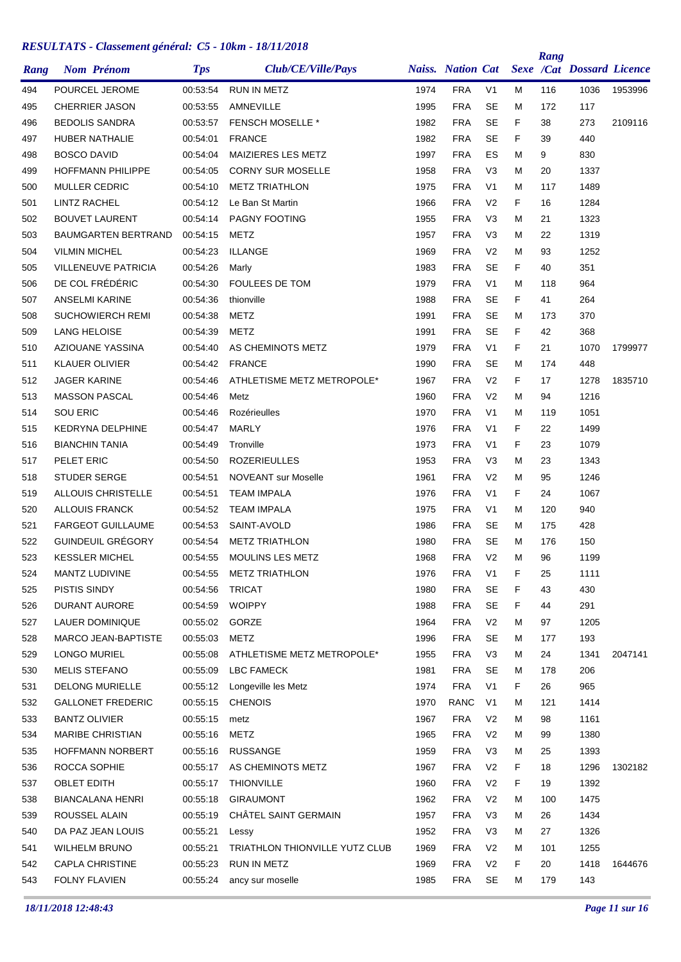| Rang |                      | <b>Nom Prénom</b>          | <b>Tps</b> | Club/CE/Ville/Pays             |      | <b>Naiss.</b> Nation Cat |                |    | Rang | <b>Sexe /Cat Dossard Licence</b> |         |
|------|----------------------|----------------------------|------------|--------------------------------|------|--------------------------|----------------|----|------|----------------------------------|---------|
| 494  |                      | POURCEL JEROME             | 00:53:54   | <b>RUN IN METZ</b>             | 1974 | <b>FRA</b>               | V <sub>1</sub> | м  | 116  | 1036                             | 1953996 |
| 495  |                      | <b>CHERRIER JASON</b>      | 00:53:55   | AMNEVILLE                      | 1995 | <b>FRA</b>               | SE             | M  | 172  | 117                              |         |
| 496  |                      | <b>BEDOLIS SANDRA</b>      | 00:53:57   | <b>FENSCH MOSELLE *</b>        | 1982 | <b>FRA</b>               | <b>SE</b>      | F  | 38   | 273                              | 2109116 |
| 497  |                      | <b>HUBER NATHALIE</b>      | 00:54:01   | <b>FRANCE</b>                  | 1982 | <b>FRA</b>               | <b>SE</b>      | F  | 39   | 440                              |         |
| 498  | <b>BOSCO DAVID</b>   |                            | 00:54:04   | MAIZIERES LES METZ             | 1997 | <b>FRA</b>               | ES             | м  | 9    | 830                              |         |
| 499  |                      | <b>HOFFMANN PHILIPPE</b>   | 00:54:05   | <b>CORNY SUR MOSELLE</b>       | 1958 | <b>FRA</b>               | V <sub>3</sub> | м  | 20   | 1337                             |         |
| 500  |                      | <b>MULLER CEDRIC</b>       | 00:54:10   | <b>METZ TRIATHLON</b>          | 1975 | <b>FRA</b>               | V <sub>1</sub> | м  | 117  | 1489                             |         |
| 501  | <b>LINTZ RACHEL</b>  |                            | 00:54:12   | Le Ban St Martin               | 1966 | <b>FRA</b>               | V <sub>2</sub> | F  | 16   | 1284                             |         |
| 502  |                      | <b>BOUVET LAURENT</b>      | 00:54:14   | PAGNY FOOTING                  | 1955 | <b>FRA</b>               | V <sub>3</sub> | м  | 21   | 1323                             |         |
| 503  |                      | <b>BAUMGARTEN BERTRAND</b> | 00:54:15   | METZ                           | 1957 | <b>FRA</b>               | V <sub>3</sub> | м  | 22   | 1319                             |         |
| 504  | <b>VILMIN MICHEL</b> |                            | 00:54:23   | ILLANGE                        | 1969 | <b>FRA</b>               | V <sub>2</sub> | м  | 93   | 1252                             |         |
| 505  |                      | <b>VILLENEUVE PATRICIA</b> | 00:54:26   | Marly                          | 1983 | <b>FRA</b>               | SE             | F  | 40   | 351                              |         |
| 506  |                      | DE COL FRÉDÉRIC            | 00:54:30   | <b>FOULEES DE TOM</b>          | 1979 | <b>FRA</b>               | V <sub>1</sub> | м  | 118  | 964                              |         |
| 507  |                      | <b>ANSELMI KARINE</b>      | 00:54:36   | thionville                     | 1988 | <b>FRA</b>               | <b>SE</b>      | F  | 41   | 264                              |         |
| 508  |                      | <b>SUCHOWIERCH REMI</b>    | 00:54:38   | METZ                           | 1991 | <b>FRA</b>               | SE             | м  | 173  | 370                              |         |
| 509  | <b>LANG HELOISE</b>  |                            | 00:54:39   | <b>METZ</b>                    | 1991 | <b>FRA</b>               | <b>SE</b>      | F  | 42   | 368                              |         |
| 510  |                      | AZIOUANE YASSINA           | 00:54:40   | AS CHEMINOTS METZ              | 1979 | <b>FRA</b>               | V <sub>1</sub> | F  | 21   | 1070                             | 1799977 |
| 511  |                      | <b>KLAUER OLIVIER</b>      | 00:54:42   | <b>FRANCE</b>                  | 1990 | <b>FRA</b>               | SE             | M  | 174  | 448                              |         |
| 512  | <b>JAGER KARINE</b>  |                            | 00:54:46   | ATHLETISME METZ METROPOLE*     | 1967 | <b>FRA</b>               | V <sub>2</sub> | F  | 17   | 1278                             | 1835710 |
| 513  |                      | <b>MASSON PASCAL</b>       | 00:54:46   | Metz                           | 1960 | <b>FRA</b>               | V <sub>2</sub> | м  | 94   | 1216                             |         |
| 514  | <b>SOU ERIC</b>      |                            | 00:54:46   | Rozérieulles                   | 1970 | <b>FRA</b>               | V <sub>1</sub> | м  | 119  | 1051                             |         |
| 515  |                      | <b>KEDRYNA DELPHINE</b>    | 00:54:47   | <b>MARLY</b>                   | 1976 | <b>FRA</b>               | V <sub>1</sub> | F  | 22   | 1499                             |         |
| 516  |                      | <b>BIANCHIN TANIA</b>      | 00:54:49   | Tronville                      | 1973 | <b>FRA</b>               | V <sub>1</sub> | F  | 23   | 1079                             |         |
| 517  | PELET ERIC           |                            | 00:54:50   | <b>ROZERIEULLES</b>            | 1953 | <b>FRA</b>               | V <sub>3</sub> | м  | 23   | 1343                             |         |
| 518  | <b>STUDER SERGE</b>  |                            | 00:54:51   | <b>NOVEANT</b> sur Moselle     | 1961 | <b>FRA</b>               | V <sub>2</sub> | M  | 95   | 1246                             |         |
| 519  |                      | <b>ALLOUIS CHRISTELLE</b>  | 00:54:51   | <b>TEAM IMPALA</b>             | 1976 | <b>FRA</b>               | V <sub>1</sub> | F  | 24   | 1067                             |         |
| 520  |                      | <b>ALLOUIS FRANCK</b>      | 00:54:52   | <b>TEAM IMPALA</b>             | 1975 | <b>FRA</b>               | V <sub>1</sub> | м  | 120  | 940                              |         |
| 521  |                      | <b>FARGEOT GUILLAUME</b>   | 00:54:53   | SAINT-AVOLD                    | 1986 | <b>FRA</b>               | SE             | м  | 175  | 428                              |         |
| 522  |                      | GUINDEUIL GRÉGORY          | 00:54:54   | <b>METZ TRIATHLON</b>          | 1980 | <b>FRA</b>               | SE             | м  | 176  | 150                              |         |
| 523  |                      | <b>KESSLER MICHEL</b>      | 00:54:55   | <b>MOULINS LES METZ</b>        | 1968 | <b>FRA</b>               | V <sub>2</sub> | M  | 96   | 1199                             |         |
| 524  |                      | MANTZ LUDIVINE             | 00:54:55   | <b>METZ TRIATHLON</b>          | 1976 | <b>FRA</b>               | V <sub>1</sub> | F  | 25   | 1111                             |         |
| 525  | PISTIS SINDY         |                            | 00:54:56   | <b>TRICAT</b>                  | 1980 | <b>FRA</b>               | <b>SE</b>      | F  | 43   | 430                              |         |
| 526  |                      | DURANT AURORE              | 00:54:59   | <b>WOIPPY</b>                  | 1988 | <b>FRA</b>               | SE             | F  | 44   | 291                              |         |
| 527  |                      | <b>LAUER DOMINIQUE</b>     | 00:55:02   | GORZE                          | 1964 | <b>FRA</b>               | V <sub>2</sub> | M  | 97   | 1205                             |         |
| 528  |                      | MARCO JEAN-BAPTISTE        | 00:55:03   | <b>METZ</b>                    | 1996 | <b>FRA</b>               | <b>SE</b>      | м  | 177  | 193                              |         |
| 529  | LONGO MURIEL         |                            | 00:55:08   | ATHLETISME METZ METROPOLE*     | 1955 | <b>FRA</b>               | V <sub>3</sub> | м  | 24   | 1341                             | 2047141 |
| 530  | <b>MELIS STEFANO</b> |                            | 00:55:09   | LBC FAMECK                     | 1981 | <b>FRA</b>               | SE             | м  | 178  | 206                              |         |
| 531  |                      | <b>DELONG MURIELLE</b>     | 00:55:12   | Longeville les Metz            | 1974 | <b>FRA</b>               | V <sub>1</sub> | F. | 26   | 965                              |         |
| 532  |                      | <b>GALLONET FREDERIC</b>   | 00:55:15   | <b>CHENOIS</b>                 | 1970 | <b>RANC</b>              | V1             | M  | 121  | 1414                             |         |
| 533  | <b>BANTZ OLIVIER</b> |                            | 00:55:15   | metz                           | 1967 | <b>FRA</b>               | V <sub>2</sub> | м  | 98   | 1161                             |         |
| 534  |                      | <b>MARIBE CHRISTIAN</b>    | 00:55:16   | <b>METZ</b>                    | 1965 | <b>FRA</b>               | V <sub>2</sub> | м  | 99   | 1380                             |         |
|      |                      |                            | 00:55:16   | <b>RUSSANGE</b>                | 1959 | <b>FRA</b>               | V <sub>3</sub> |    | 25   | 1393                             |         |
| 535  |                      | <b>HOFFMANN NORBERT</b>    |            |                                |      |                          |                | M  |      |                                  |         |
| 536  | ROCCA SOPHIE         |                            | 00:55:17   | AS CHEMINOTS METZ              | 1967 | <b>FRA</b>               | V <sub>2</sub> | F. | 18   | 1296                             | 1302182 |
| 537  | <b>OBLET EDITH</b>   |                            | 00:55:17   | <b>THIONVILLE</b>              | 1960 | <b>FRA</b>               | V <sub>2</sub> | F  | 19   | 1392                             |         |
| 538  |                      | <b>BIANCALANA HENRI</b>    | 00:55:18   | <b>GIRAUMONT</b>               | 1962 | <b>FRA</b>               | V <sub>2</sub> | M  | 100  | 1475                             |         |
| 539  | ROUSSEL ALAIN        |                            | 00:55:19   | CHÂTEL SAINT GERMAIN           | 1957 | <b>FRA</b>               | V <sub>3</sub> | м  | 26   | 1434                             |         |
| 540  |                      | DA PAZ JEAN LOUIS          | 00:55:21   | Lessy                          | 1952 | <b>FRA</b>               | V <sub>3</sub> | м  | 27   | 1326                             |         |
| 541  |                      | <b>WILHELM BRUNO</b>       | 00:55:21   | TRIATHLON THIONVILLE YUTZ CLUB | 1969 | <b>FRA</b>               | V <sub>2</sub> | м  | 101  | 1255                             |         |
| 542  |                      | <b>CAPLA CHRISTINE</b>     | 00:55:23   | RUN IN METZ                    | 1969 | <b>FRA</b>               | V <sub>2</sub> | F. | 20   | 1418                             | 1644676 |
| 543  | FOLNY FLAVIEN        |                            | 00:55:24   | ancy sur moselle               | 1985 | <b>FRA</b>               | SE             | м  | 179  | 143                              |         |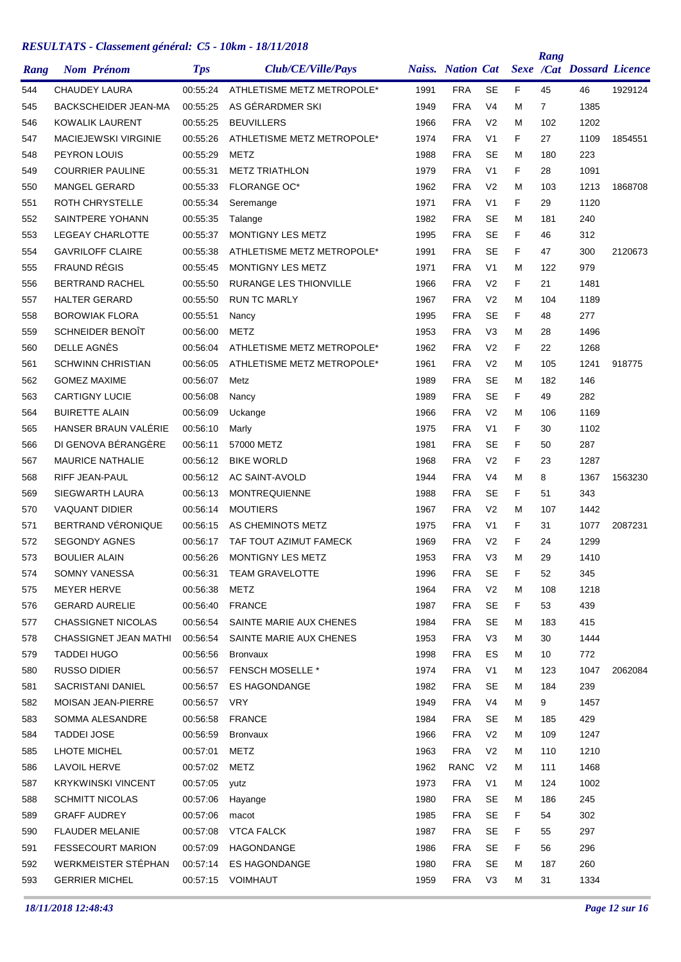| Rang       | <b>Nom Prénom</b>           | <b>Tps</b>           | Club/CE/Ville/Pays            |      | <b>Naiss.</b> Nation Cat |                |          | Rang      | <b>Sexe /Cat Dossard Licence</b> |         |
|------------|-----------------------------|----------------------|-------------------------------|------|--------------------------|----------------|----------|-----------|----------------------------------|---------|
| 544        | <b>CHAUDEY LAURA</b>        | 00:55:24             | ATHLETISME METZ METROPOLE*    | 1991 | <b>FRA</b>               | <b>SE</b>      | F        | 45        | 46                               | 1929124 |
| 545        | BACKSCHEIDER JEAN-MA        | 00:55:25             | AS GÉRARDMER SKI              | 1949 | <b>FRA</b>               | V4             | M        | 7         | 1385                             |         |
| 546        | <b>KOWALIK LAURENT</b>      | 00:55:25             | <b>BEUVILLERS</b>             | 1966 | <b>FRA</b>               | V <sub>2</sub> | M        | 102       | 1202                             |         |
| 547        | <b>MACIEJEWSKI VIRGINIE</b> | 00:55:26             | ATHLETISME METZ METROPOLE*    | 1974 | <b>FRA</b>               | V <sub>1</sub> | F        | 27        | 1109                             | 1854551 |
| 548        | PEYRON LOUIS                | 00:55:29             | <b>METZ</b>                   | 1988 | <b>FRA</b>               | SE             | M        | 180       | 223                              |         |
| 549        | <b>COURRIER PAULINE</b>     | 00:55:31             | <b>METZ TRIATHLON</b>         | 1979 | <b>FRA</b>               | V <sub>1</sub> | F        | 28        | 1091                             |         |
| 550        | <b>MANGEL GERARD</b>        | 00:55:33             | <b>FLORANGE OC*</b>           | 1962 | <b>FRA</b>               | V <sub>2</sub> | M        | 103       | 1213                             | 1868708 |
| 551        | ROTH CHRYSTELLE             | 00:55:34             | Seremange                     | 1971 | <b>FRA</b>               | V <sub>1</sub> | F        | 29        | 1120                             |         |
| 552        | SAINTPERE YOHANN            | 00:55:35             | Talange                       | 1982 | <b>FRA</b>               | <b>SE</b>      | M        | 181       | 240                              |         |
| 553        | <b>LEGEAY CHARLOTTE</b>     | 00:55:37             | <b>MONTIGNY LES METZ</b>      | 1995 | <b>FRA</b>               | <b>SE</b>      | F        | 46        | 312                              |         |
| 554        | <b>GAVRILOFF CLAIRE</b>     | 00:55:38             | ATHLETISME METZ METROPOLE*    | 1991 | <b>FRA</b>               | <b>SE</b>      | F        | 47        | 300                              | 2120673 |
| 555        | <b>FRAUND RÉGIS</b>         | 00:55:45             | MONTIGNY LES METZ             | 1971 | <b>FRA</b>               | V1             | м        | 122       | 979                              |         |
| 556        | <b>BERTRAND RACHEL</b>      | 00:55:50             | <b>RURANGE LES THIONVILLE</b> | 1966 | <b>FRA</b>               | V <sub>2</sub> | F        | 21        | 1481                             |         |
| 557        | <b>HALTER GERARD</b>        | 00:55:50             | <b>RUN TC MARLY</b>           | 1967 | <b>FRA</b>               | V <sub>2</sub> | M        | 104       | 1189                             |         |
| 558        | <b>BOROWIAK FLORA</b>       | 00:55:51             | Nancy                         | 1995 | <b>FRA</b>               | SE             | F        | 48        | 277                              |         |
| 559        | SCHNEIDER BENOÎT            | 00:56:00             | <b>METZ</b>                   | 1953 | <b>FRA</b>               | V <sub>3</sub> | M        | 28        | 1496                             |         |
| 560        | DELLE AGNÈS                 | 00:56:04             | ATHLETISME METZ METROPOLE*    | 1962 | <b>FRA</b>               | V <sub>2</sub> | F        | 22        | 1268                             |         |
| 561        | <b>SCHWINN CHRISTIAN</b>    | 00:56:05             | ATHLETISME METZ METROPOLE*    | 1961 | <b>FRA</b>               | V <sub>2</sub> | M        | 105       | 1241                             | 918775  |
| 562        | <b>GOMEZ MAXIME</b>         | 00:56:07             | Metz                          | 1989 | <b>FRA</b>               | SE             | M        | 182       | 146                              |         |
| 563        | <b>CARTIGNY LUCIE</b>       | 00:56:08             | Nancy                         | 1989 | <b>FRA</b>               | <b>SE</b>      | F        | 49        | 282                              |         |
| 564        | <b>BUIRETTE ALAIN</b>       | 00:56:09             | Uckange                       | 1966 | <b>FRA</b>               | V <sub>2</sub> | M        | 106       | 1169                             |         |
| 565        | HANSER BRAUN VALERIE        | 00:56:10             | Marly                         | 1975 | <b>FRA</b>               | V <sub>1</sub> | F        | 30        | 1102                             |         |
| 566        | DI GENOVA BÉRANGÈRE         | 00:56:11             | 57000 METZ                    | 1981 | <b>FRA</b>               | SE             | F        | 50        | 287                              |         |
| 567        | <b>MAURICE NATHALIE</b>     | 00:56:12             | <b>BIKE WORLD</b>             | 1968 | <b>FRA</b>               | V <sub>2</sub> | F        | 23        | 1287                             |         |
| 568        | RIFF JEAN-PAUL              | 00:56:12             | AC SAINT-AVOLD                | 1944 | <b>FRA</b>               | V4             | M        | 8         | 1367                             | 1563230 |
| 569        | SIEGWARTH LAURA             | 00:56:13             | <b>MONTREQUIENNE</b>          | 1988 | <b>FRA</b>               | SE             | F        | 51        | 343                              |         |
| 570        | <b>VAQUANT DIDIER</b>       | 00:56:14             | <b>MOUTIERS</b>               | 1967 | <b>FRA</b>               | V <sub>2</sub> | M        | 107       | 1442                             |         |
| 571        | BERTRAND VÉRONIQUE          | 00:56:15             | AS CHEMINOTS METZ             | 1975 | <b>FRA</b>               | V <sub>1</sub> | F        | 31        | 1077                             | 2087231 |
| 572        | <b>SEGONDY AGNES</b>        | 00:56:17             | TAF TOUT AZIMUT FAMECK        | 1969 | <b>FRA</b>               | V <sub>2</sub> | F        | 24        | 1299                             |         |
| 573        | <b>BOULIER ALAIN</b>        | 00:56:26             | MONTIGNY LES METZ             | 1953 | <b>FRA</b>               | V <sub>3</sub> | M        | 29        | 1410                             |         |
| 574        | SOMNY VANESSA               | 00:56:31             | <b>TEAM GRAVELOTTE</b>        | 1996 | <b>FRA</b>               | <b>SE</b>      | F        | 52        | 345                              |         |
| 575        | MEYER HERVE                 | 00:56:38             | METZ                          | 1964 | <b>FRA</b>               | V <sub>2</sub> | м        | 108       | 1218                             |         |
| 576        | <b>GERARD AURELIE</b>       | 00:56:40             | <b>FRANCE</b>                 | 1987 | <b>FRA</b>               | <b>SE</b>      | F        | 53        | 439                              |         |
| 577        | <b>CHASSIGNET NICOLAS</b>   | 00:56:54             | SAINTE MARIE AUX CHENES       | 1984 | <b>FRA</b>               | <b>SE</b>      | м        | 183       | 415                              |         |
| 578        | CHASSIGNET JEAN MATHI       | 00:56:54             | SAINTE MARIE AUX CHENES       | 1953 | <b>FRA</b>               | V <sub>3</sub> | м        | 30        | 1444                             |         |
| 579        | <b>TADDEI HUGO</b>          | 00:56:56             | <b>Bronvaux</b>               | 1998 | <b>FRA</b>               | ES             | м        | 10        | 772                              |         |
| 580        | <b>RUSSO DIDIER</b>         | 00:56:57             | <b>FENSCH MOSELLE *</b>       | 1974 | <b>FRA</b>               | V <sub>1</sub> | м        | 123       | 1047                             | 2062084 |
| 581        | SACRISTANI DANIEL           | 00:56:57             | <b>ES HAGONDANGE</b>          | 1982 | <b>FRA</b>               | <b>SE</b>      | м        | 184       | 239                              |         |
| 582        | <b>MOISAN JEAN-PIERRE</b>   | 00:56:57             | VRY                           | 1949 | <b>FRA</b>               | V4             | м        | 9         | 1457                             |         |
| 583        | SOMMA ALESANDRE             | 00:56:58             | <b>FRANCE</b>                 | 1984 | <b>FRA</b>               | SE             | м        | 185       | 429                              |         |
| 584        | <b>TADDEI JOSE</b>          | 00:56:59             | <b>Bronvaux</b>               | 1966 | <b>FRA</b>               | V <sub>2</sub> | м        | 109       | 1247                             |         |
| 585        | LHOTE MICHEL                | 00:57:01             | <b>METZ</b>                   | 1963 | <b>FRA</b>               | V <sub>2</sub> | м        | 110       | 1210                             |         |
| 586        | <b>LAVOIL HERVE</b>         | 00:57:02             | METZ                          | 1962 | <b>RANC</b>              | V <sub>2</sub> | м        | 111       | 1468                             |         |
| 587        | <b>KRYKWINSKI VINCENT</b>   | 00:57:05             | yutz                          | 1973 | <b>FRA</b>               | V1             | м        | 124       | 1002                             |         |
|            | <b>SCHMITT NICOLAS</b>      |                      |                               | 1980 | <b>FRA</b>               | <b>SE</b>      |          |           | 245                              |         |
| 588        | <b>GRAFF AUDREY</b>         | 00:57:06             | Hayange                       | 1985 | <b>FRA</b>               | <b>SE</b>      | M<br>F.  | 186<br>54 | 302                              |         |
| 589<br>590 | <b>FLAUDER MELANIE</b>      | 00:57:06<br>00:57:08 | macot                         | 1987 | <b>FRA</b>               | SE             |          | 55        | 297                              |         |
|            | <b>FESSECOURT MARION</b>    |                      | VTCA FALCK                    | 1986 | <b>FRA</b>               | <b>SE</b>      | F.<br>F. | 56        | 296                              |         |
| 591        | WERKMEISTER STÉPHAN         | 00:57:09             | HAGONDANGE                    |      |                          |                |          |           |                                  |         |
| 592        |                             | 00:57:14             | <b>ES HAGONDANGE</b>          | 1980 | <b>FRA</b>               | SE             | М        | 187       | 260                              |         |
| 593        | <b>GERRIER MICHEL</b>       |                      | 00:57:15 VOIMHAUT             | 1959 | <b>FRA</b>               | V <sub>3</sub> | м        | 31        | 1334                             |         |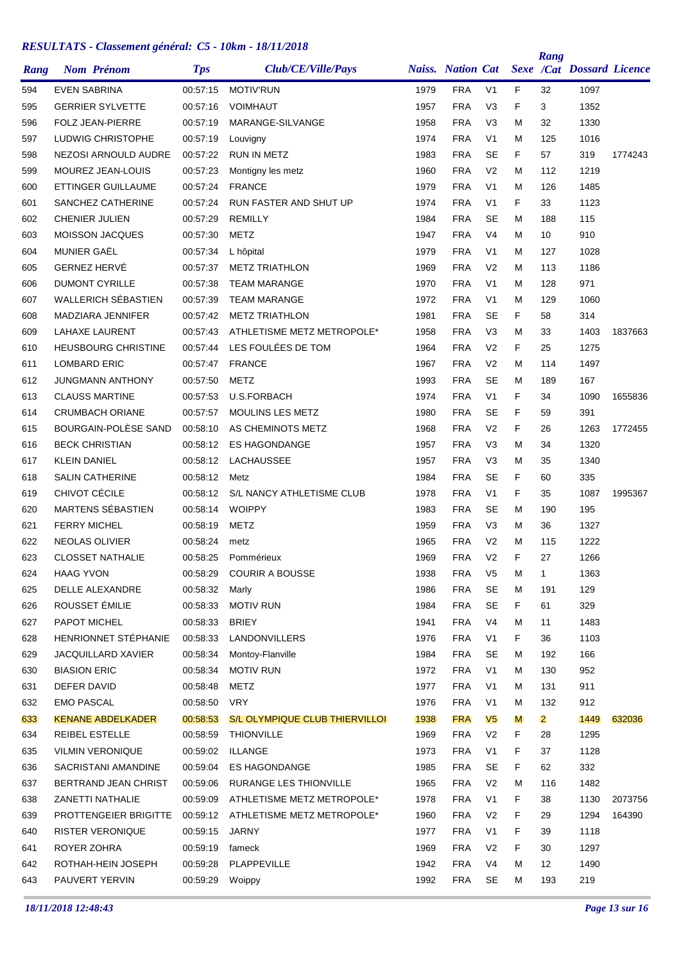| Rang       | <b>Nom Prénom</b>                       | <b>Tps</b>           | Club/CE/Ville/Pays                    |              | <b>Naiss.</b> Nation Cat |                |        | Rang           | <b>Sexe /Cat Dossard Licence</b> |         |
|------------|-----------------------------------------|----------------------|---------------------------------------|--------------|--------------------------|----------------|--------|----------------|----------------------------------|---------|
|            | <b>EVEN SABRINA</b>                     | 00:57:15             |                                       | 1979         | <b>FRA</b>               | V <sub>1</sub> | F      |                | 1097                             |         |
| 594        | <b>GERRIER SYLVETTE</b>                 |                      | <b>MOTIV'RUN</b><br><b>VOIMHAUT</b>   | 1957         | <b>FRA</b>               | V <sub>3</sub> | F      | 32<br>3        | 1352                             |         |
| 595<br>596 | <b>FOLZ JEAN-PIERRE</b>                 | 00:57:16<br>00:57:19 | MARANGE-SILVANGE                      | 1958         | <b>FRA</b>               | V <sub>3</sub> | М      | 32             | 1330                             |         |
| 597        | LUDWIG CHRISTOPHE                       | 00:57:19             | Louvigny                              | 1974         | <b>FRA</b>               | V <sub>1</sub> | М      | 125            | 1016                             |         |
| 598        | NEZOSI ARNOULD AUDRE                    | 00:57:22             | <b>RUN IN METZ</b>                    | 1983         | <b>FRA</b>               | <b>SE</b>      | F.     | 57             | 319                              | 1774243 |
| 599        | <b>MOUREZ JEAN-LOUIS</b>                | 00:57:23             | Montigny les metz                     | 1960         | <b>FRA</b>               | V <sub>2</sub> | М      | 112            | 1219                             |         |
| 600        | ETTINGER GUILLAUME                      | 00:57:24             | <b>FRANCE</b>                         | 1979         | <b>FRA</b>               | V <sub>1</sub> | М      | 126            | 1485                             |         |
| 601        | SANCHEZ CATHERINE                       | 00:57:24             | RUN FASTER AND SHUT UP                | 1974         | <b>FRA</b>               | V <sub>1</sub> | F      | 33             | 1123                             |         |
| 602        | <b>CHENIER JULIEN</b>                   | 00:57:29             | <b>REMILLY</b>                        | 1984         | <b>FRA</b>               | <b>SE</b>      | М      | 188            | 115                              |         |
| 603        | <b>MOISSON JACQUES</b>                  | 00:57:30             | METZ                                  | 1947         | <b>FRA</b>               | V <sub>4</sub> | М      | 10             | 910                              |         |
| 604        | MUNIER GAËL                             | 00:57:34             | L hôpital                             | 1979         | <b>FRA</b>               | V <sub>1</sub> | М      | 127            | 1028                             |         |
| 605        | <b>GERNEZ HERVÉ</b>                     | 00:57:37             | <b>METZ TRIATHLON</b>                 | 1969         | <b>FRA</b>               | V <sub>2</sub> | М      | 113            | 1186                             |         |
| 606        | <b>DUMONT CYRILLE</b>                   | 00:57:38             | <b>TEAM MARANGE</b>                   | 1970         | <b>FRA</b>               | V <sub>1</sub> | М      | 128            | 971                              |         |
| 607        | <b>WALLERICH SÉBASTIEN</b>              | 00:57:39             | <b>TEAM MARANGE</b>                   | 1972         | <b>FRA</b>               | V <sub>1</sub> | М      | 129            | 1060                             |         |
| 608        | MADZIARA JENNIFER                       | 00:57:42             | <b>METZ TRIATHLON</b>                 | 1981         | <b>FRA</b>               | <b>SE</b>      | F      | 58             | 314                              |         |
| 609        | <b>LAHAXE LAURENT</b>                   | 00:57:43             | ATHLETISME METZ METROPOLE*            | 1958         | <b>FRA</b>               | V <sub>3</sub> | м      | 33             | 1403                             | 1837663 |
| 610        | <b>HEUSBOURG CHRISTINE</b>              | 00:57:44             | LES FOULÉES DE TOM                    | 1964         | <b>FRA</b>               | V <sub>2</sub> | F      | 25             | 1275                             |         |
| 611        | <b>LOMBARD ERIC</b>                     | 00:57:47             | <b>FRANCE</b>                         | 1967         | <b>FRA</b>               | V <sub>2</sub> | M      | 114            | 1497                             |         |
| 612        | <b>JUNGMANN ANTHONY</b>                 | 00:57:50             | METZ                                  | 1993         | <b>FRA</b>               | <b>SE</b>      | М      | 189            | 167                              |         |
| 613        | <b>CLAUSS MARTINE</b>                   | 00:57:53             | U.S.FORBACH                           | 1974         | <b>FRA</b>               | V <sub>1</sub> | F      | 34             | 1090                             | 1655836 |
| 614        | <b>CRUMBACH ORIANE</b>                  | 00:57:57             | <b>MOULINS LES METZ</b>               | 1980         | <b>FRA</b>               | <b>SE</b>      | F      | 59             | 391                              |         |
| 615        | BOURGAIN-POLESE SAND                    | 00:58:10             | AS CHEMINOTS METZ                     | 1968         | <b>FRA</b>               | V <sub>2</sub> | F      | 26             | 1263                             | 1772455 |
| 616        | <b>BECK CHRISTIAN</b>                   | 00:58:12             | <b>ES HAGONDANGE</b>                  | 1957         | <b>FRA</b>               | V <sub>3</sub> | M      | 34             | 1320                             |         |
|            | <b>KLEIN DANIEL</b>                     | 00:58:12             | LACHAUSSEE                            | 1957         | <b>FRA</b>               | V <sub>3</sub> | М      |                | 1340                             |         |
| 617        |                                         |                      |                                       |              | <b>FRA</b>               | <b>SE</b>      |        | 35             |                                  |         |
| 618        | <b>SALIN CATHERINE</b><br>CHIVOT CÉCILE | 00:58:12             | Metz<br>S/L NANCY ATHLETISME CLUB     | 1984<br>1978 | <b>FRA</b>               | V <sub>1</sub> | F<br>F | 60             | 335<br>1087                      |         |
| 619        | <b>MARTENS SÉBASTIEN</b>                | 00:58:12<br>00:58:14 | <b>WOIPPY</b>                         |              |                          |                |        | 35             |                                  | 1995367 |
| 620        |                                         |                      |                                       | 1983         | <b>FRA</b>               | <b>SE</b>      | M      | 190            | 195                              |         |
| 621        | <b>FERRY MICHEL</b>                     | 00:58:19             | <b>METZ</b>                           | 1959         | <b>FRA</b>               | V <sub>3</sub> | М      | 36             | 1327                             |         |
| 622        | <b>NEOLAS OLIVIER</b>                   | 00:58:24             | metz                                  | 1965         | <b>FRA</b>               | V <sub>2</sub> | М      | 115            | 1222                             |         |
| 623        | <b>CLOSSET NATHALIE</b>                 | 00:58:25             | Pommérieux                            | 1969         | <b>FRA</b>               | V <sub>2</sub> | F      | 27             | 1266                             |         |
| 624        | <b>HAAG YVON</b>                        | 00:58:29             | <b>COURIR A BOUSSE</b>                | 1938         | <b>FRA</b>               | V <sub>5</sub> | M      | $\mathbf 1$    | 1363                             |         |
| 625        | DELLE ALEXANDRE                         | 00:58:32             | Marly                                 | 1986         | <b>FRA</b>               | <b>SE</b>      | М      | 191            | 129                              |         |
| 626        | ROUSSET ÉMILIE                          | 00:58:33             | <b>MOTIV RUN</b>                      | 1984         | <b>FRA</b>               | SE             | F.     | 61             | 329                              |         |
| 627        | PAPOT MICHEL                            | 00:58:33             | <b>BRIEY</b>                          | 1941         | <b>FRA</b>               | V <sub>4</sub> | Μ      | 11             | 1483                             |         |
| 628        | HENRIONNET STÉPHANIE                    | 00:58:33             | <b>LANDONVILLERS</b>                  | 1976         | <b>FRA</b>               | V <sub>1</sub> | F.     | 36             | 1103                             |         |
| 629        | JACQUILLARD XAVIER                      | 00:58:34             | Montoy-Flanville                      | 1984         | <b>FRA</b>               | <b>SE</b>      | M      | 192            | 166                              |         |
| 630        | <b>BIASION ERIC</b>                     | 00:58:34             | <b>MOTIV RUN</b>                      | 1972         | <b>FRA</b>               | V <sub>1</sub> | М      | 130            | 952                              |         |
| 631        | DEFER DAVID                             | 00:58:48             | <b>METZ</b>                           | 1977         | <b>FRA</b>               | V <sub>1</sub> | М      | 131            | 911                              |         |
| 632        | <b>EMO PASCAL</b>                       | 00:58:50             | <b>VRY</b>                            | 1976         | <b>FRA</b>               | V1             | M      | 132            | 912                              |         |
| 633        | <b>KENANE ABDELKADER</b>                | 00:58:53             | <b>S/L OLYMPIQUE CLUB THIERVILLOI</b> | 1938         | <b>FRA</b>               | V <sub>5</sub> | M      | $\overline{2}$ | 1449                             | 632036  |
| 634        | <b>REIBEL ESTELLE</b>                   | 00:58:59             | <b>THIONVILLE</b>                     | 1969         | <b>FRA</b>               | V <sub>2</sub> | F.     | 28             | 1295                             |         |
| 635        | <b>VILMIN VERONIQUE</b>                 | 00:59:02             | ILLANGE                               | 1973         | <b>FRA</b>               | V <sub>1</sub> | F      | 37             | 1128                             |         |
| 636        | SACRISTANI AMANDINE                     | 00:59:04             | <b>ES HAGONDANGE</b>                  | 1985         | <b>FRA</b>               | <b>SE</b>      | F.     | 62             | 332                              |         |
| 637        | BERTRAND JEAN CHRIST                    | 00:59:06             | RURANGE LES THIONVILLE                | 1965         | <b>FRA</b>               | V <sub>2</sub> | M      | 116            | 1482                             |         |
| 638        | ZANETTI NATHALIE                        | 00:59:09             | ATHLETISME METZ METROPOLE*            | 1978         | <b>FRA</b>               | V <sub>1</sub> | F      | 38             | 1130                             | 2073756 |
| 639        | PROTTENGEIER BRIGITTE                   | 00:59:12             | ATHLETISME METZ METROPOLE*            | 1960         | <b>FRA</b>               | V <sub>2</sub> | F      | 29             | 1294                             | 164390  |
| 640        | <b>RISTER VERONIQUE</b>                 | 00:59:15             | <b>JARNY</b>                          | 1977         | <b>FRA</b>               | V <sub>1</sub> | F      | 39             | 1118                             |         |
| 641        | ROYER ZOHRA                             | 00:59:19             | fameck                                | 1969         | <b>FRA</b>               | V <sub>2</sub> | F      | 30             | 1297                             |         |
| 642        | ROTHAH-HEIN JOSEPH                      | 00:59:28             | PLAPPEVILLE                           | 1942         | FRA                      | V <sub>4</sub> | Μ      | 12             | 1490                             |         |
| 643        | PAUVERT YERVIN                          | 00:59:29 Woippy      |                                       | 1992         | <b>FRA</b>               | SE             | М      | 193            | 219                              |         |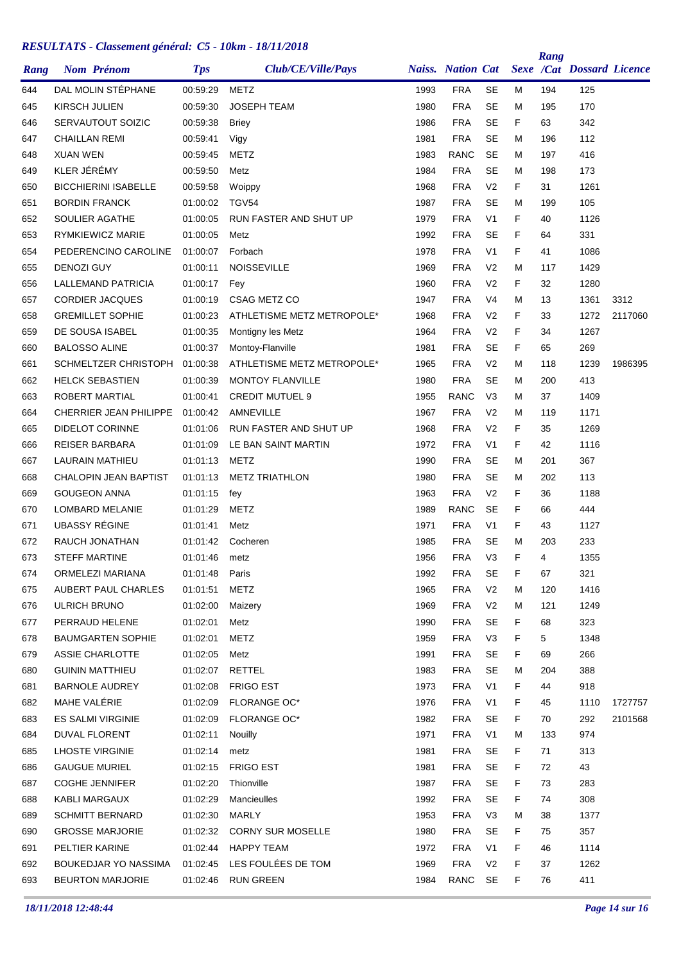| Rang | <b>Nom Prénom</b>            | <b>Tps</b> | Club/CE/Ville/Pays         |      | <b>Naiss.</b> Nation Cat |                |   | Rang | <b>Sexe /Cat Dossard Licence</b> |         |
|------|------------------------------|------------|----------------------------|------|--------------------------|----------------|---|------|----------------------------------|---------|
| 644  | DAL MOLIN STÉPHANE           | 00:59:29   | <b>METZ</b>                | 1993 | <b>FRA</b>               | <b>SE</b>      | М | 194  | 125                              |         |
| 645  | KIRSCH JULIEN                | 00:59:30   | <b>JOSEPH TEAM</b>         | 1980 | <b>FRA</b>               | <b>SE</b>      | м | 195  | 170                              |         |
| 646  | SERVAUTOUT SOIZIC            | 00:59:38   | <b>Briey</b>               | 1986 | <b>FRA</b>               | <b>SE</b>      | F | 63   | 342                              |         |
| 647  | <b>CHAILLAN REMI</b>         | 00:59:41   | Vigy                       | 1981 | <b>FRA</b>               | <b>SE</b>      | М | 196  | 112                              |         |
| 648  | <b>XUAN WEN</b>              | 00:59:45   | METZ                       | 1983 | <b>RANC</b>              | SE             | М | 197  | 416                              |         |
| 649  | KLER JÉRÉMY                  | 00:59:50   | Metz                       | 1984 | <b>FRA</b>               | <b>SE</b>      | М | 198  | 173                              |         |
| 650  | <b>BICCHIERINI ISABELLE</b>  | 00:59:58   | Woippy                     | 1968 | <b>FRA</b>               | V <sub>2</sub> | F | 31   | 1261                             |         |
| 651  | <b>BORDIN FRANCK</b>         | 01:00:02   | TGV54                      | 1987 | <b>FRA</b>               | <b>SE</b>      | м | 199  | 105                              |         |
| 652  | <b>SOULIER AGATHE</b>        | 01:00:05   | RUN FASTER AND SHUT UP     | 1979 | <b>FRA</b>               | V <sub>1</sub> | F | 40   | 1126                             |         |
| 653  | RYMKIEWICZ MARIE             | 01:00:05   | Metz                       | 1992 | <b>FRA</b>               | <b>SE</b>      | F | 64   | 331                              |         |
| 654  | PEDERENCINO CAROLINE         | 01:00:07   | Forbach                    | 1978 | <b>FRA</b>               | V <sub>1</sub> | F | 41   | 1086                             |         |
| 655  | <b>DENOZI GUY</b>            | 01:00:11   | <b>NOISSEVILLE</b>         | 1969 | <b>FRA</b>               | V <sub>2</sub> | м | 117  | 1429                             |         |
| 656  | LALLEMAND PATRICIA           | 01:00:17   | Fey                        | 1960 | <b>FRA</b>               | V <sub>2</sub> | F | 32   | 1280                             |         |
| 657  | <b>CORDIER JACQUES</b>       | 01:00:19   | <b>CSAG METZ CO</b>        | 1947 | <b>FRA</b>               | V4             | М | 13   | 1361                             | 3312    |
| 658  | <b>GREMILLET SOPHIE</b>      | 01:00:23   | ATHLETISME METZ METROPOLE* | 1968 | <b>FRA</b>               | V <sub>2</sub> | F | 33   | 1272                             | 2117060 |
| 659  | DE SOUSA ISABEL              | 01:00:35   | Montigny les Metz          | 1964 | <b>FRA</b>               | V <sub>2</sub> | F | 34   | 1267                             |         |
| 660  | <b>BALOSSO ALINE</b>         | 01:00:37   | Montoy-Flanville           | 1981 | <b>FRA</b>               | <b>SE</b>      | F | 65   | 269                              |         |
| 661  | SCHMELTZER CHRISTOPH         | 01:00:38   | ATHLETISME METZ METROPOLE* | 1965 | <b>FRA</b>               | V <sub>2</sub> | М | 118  | 1239                             | 1986395 |
| 662  | <b>HELCK SEBASTIEN</b>       | 01:00:39   | <b>MONTOY FLANVILLE</b>    | 1980 | <b>FRA</b>               | <b>SE</b>      | М | 200  | 413                              |         |
| 663  | ROBERT MARTIAL               | 01:00:41   | <b>CREDIT MUTUEL 9</b>     | 1955 | <b>RANC</b>              | V <sub>3</sub> | М | 37   | 1409                             |         |
| 664  | CHERRIER JEAN PHILIPPE       | 01:00:42   | AMNEVILLE                  | 1967 | <b>FRA</b>               | V <sub>2</sub> | М | 119  | 1171                             |         |
| 665  | <b>DIDELOT CORINNE</b>       | 01:01:06   | RUN FASTER AND SHUT UP     | 1968 | <b>FRA</b>               | V <sub>2</sub> | F | 35   | 1269                             |         |
| 666  | <b>REISER BARBARA</b>        | 01:01:09   | LE BAN SAINT MARTIN        | 1972 | <b>FRA</b>               | V <sub>1</sub> | F | 42   | 1116                             |         |
| 667  | <b>LAURAIN MATHIEU</b>       | 01:01:13   | METZ                       | 1990 | <b>FRA</b>               | SE             | М | 201  | 367                              |         |
| 668  | <b>CHALOPIN JEAN BAPTIST</b> | 01:01:13   | <b>METZ TRIATHLON</b>      | 1980 | <b>FRA</b>               | <b>SE</b>      | М | 202  | 113                              |         |
| 669  | <b>GOUGEON ANNA</b>          | 01:01:15   | fey                        | 1963 | <b>FRA</b>               | V <sub>2</sub> | F | 36   | 1188                             |         |
| 670  | LOMBARD MELANIE              | 01:01:29   | <b>METZ</b>                | 1989 | <b>RANC</b>              | <b>SE</b>      | F | 66   | 444                              |         |
| 671  | <b>UBASSY RÉGINE</b>         | 01:01:41   | Metz                       | 1971 | <b>FRA</b>               | V <sub>1</sub> | F | 43   | 1127                             |         |
| 672  | RAUCH JONATHAN               | 01:01:42   | Cocheren                   | 1985 | <b>FRA</b>               | SE             | м | 203  | 233                              |         |
| 673  | <b>STEFF MARTINE</b>         | 01:01:46   | metz                       | 1956 | <b>FRA</b>               | V <sub>3</sub> | F | 4    | 1355                             |         |
| 674  | ORMELEZI MARIANA             | 01:01:48   | Paris                      | 1992 | <b>FRA</b>               | <b>SE</b>      | F | 67   | 321                              |         |
| 675  | AUBERT PAUL CHARLES          | 01:01:51   | <b>METZ</b>                | 1965 | <b>FRA</b>               | V <sub>2</sub> | Μ | 120  | 1416                             |         |
| 676  | ULRICH BRUNO                 | 01:02:00   | Maizery                    | 1969 | <b>FRA</b>               | V <sub>2</sub> | м | 121  | 1249                             |         |
| 677  | PERRAUD HELENE               | 01:02:01   | Metz                       | 1990 | <b>FRA</b>               | <b>SE</b>      | F | 68   | 323                              |         |
| 678  | <b>BAUMGARTEN SOPHIE</b>     | 01:02:01   | <b>METZ</b>                | 1959 | <b>FRA</b>               | V3             | F | 5    | 1348                             |         |
| 679  | ASSIE CHARLOTTE              | 01:02:05   | Metz                       | 1991 | <b>FRA</b>               | <b>SE</b>      | F | 69   | 266                              |         |
| 680  | <b>GUININ MATTHIEU</b>       | 01:02:07   | RETTEL                     | 1983 | <b>FRA</b>               | SE             | м | 204  | 388                              |         |
| 681  | <b>BARNOLE AUDREY</b>        | 01:02:08   | <b>FRIGO EST</b>           | 1973 | <b>FRA</b>               | V <sub>1</sub> | F | 44   | 918                              |         |
| 682  | MAHE VALÉRIE                 | 01:02:09   | <b>FLORANGE OC*</b>        | 1976 | <b>FRA</b>               | V <sub>1</sub> | F | 45   | 1110                             | 1727757 |
| 683  | <b>ES SALMI VIRGINIE</b>     | 01:02:09   | <b>FLORANGE OC*</b>        | 1982 | <b>FRA</b>               | <b>SE</b>      | F | 70   | 292                              | 2101568 |
| 684  | DUVAL FLORENT                | 01:02:11   | Nouilly                    | 1971 | <b>FRA</b>               | V <sub>1</sub> | м | 133  | 974                              |         |
| 685  | <b>LHOSTE VIRGINIE</b>       | 01:02:14   | metz                       | 1981 | <b>FRA</b>               | <b>SE</b>      | F | 71   | 313                              |         |
| 686  | <b>GAUGUE MURIEL</b>         | 01:02:15   | <b>FRIGO EST</b>           | 1981 | <b>FRA</b>               | SE             | F | 72   | 43                               |         |
| 687  | <b>COGHE JENNIFER</b>        | 01:02:20   | Thionville                 | 1987 | <b>FRA</b>               | <b>SE</b>      | F | 73   | 283                              |         |
| 688  | KABLI MARGAUX                | 01:02:29   | Mancieulles                | 1992 | <b>FRA</b>               | <b>SE</b>      | F | 74   | 308                              |         |
| 689  | <b>SCHMITT BERNARD</b>       | 01:02:30   | MARLY                      | 1953 | <b>FRA</b>               | V <sub>3</sub> | м | 38   | 1377                             |         |
| 690  | <b>GROSSE MARJORIE</b>       | 01:02:32   | <b>CORNY SUR MOSELLE</b>   | 1980 | <b>FRA</b>               | <b>SE</b>      | F | 75   | 357                              |         |
| 691  | PELTIER KARINE               | 01:02:44   | <b>HAPPY TEAM</b>          | 1972 | <b>FRA</b>               | V <sub>1</sub> | F | 46   | 1114                             |         |
| 692  | BOUKEDJAR YO NASSIMA         | 01:02:45   | LES FOULÉES DE TOM         | 1969 | <b>FRA</b>               | V <sub>2</sub> | F | 37   | 1262                             |         |
| 693  | <b>BEURTON MARJORIE</b>      | 01:02:46   | <b>RUN GREEN</b>           | 1984 | RANC                     | SE             | F | 76   | 411                              |         |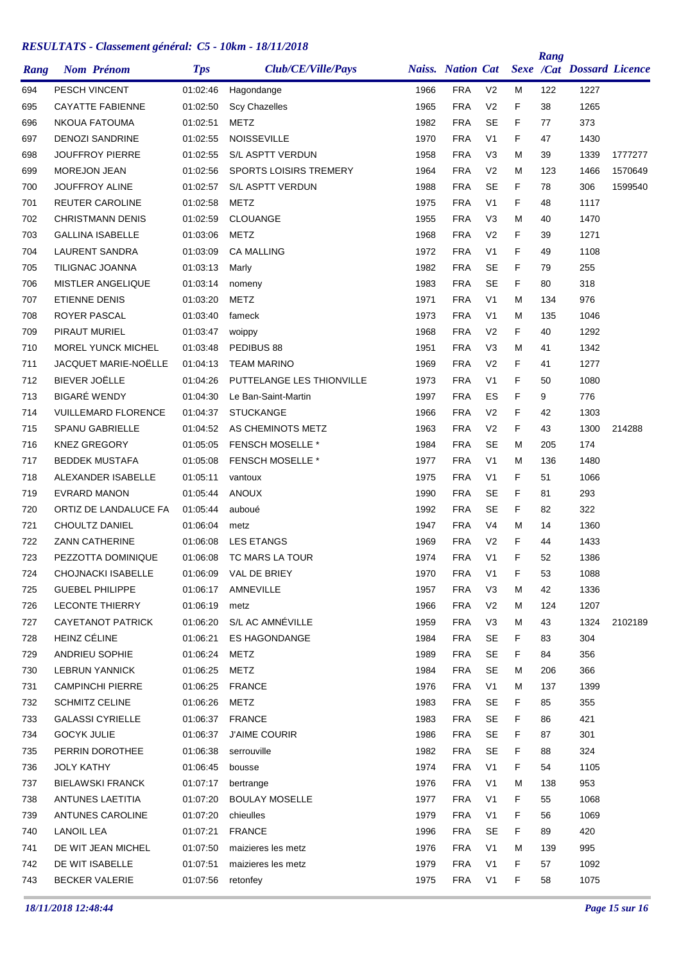| Rang |                      | <b>Nom Prénom</b>           | <b>Tps</b> | Club/CE/Ville/Pays            |      | <b>Naiss.</b> Nation Cat |                |    | Rang | Sexe /Cat Dossard Licence |         |
|------|----------------------|-----------------------------|------------|-------------------------------|------|--------------------------|----------------|----|------|---------------------------|---------|
| 694  |                      | PESCH VINCENT               | 01:02:46   | Hagondange                    | 1966 | <b>FRA</b>               | V <sub>2</sub> | м  | 122  | 1227                      |         |
| 695  |                      | <b>CAYATTE FABIENNE</b>     | 01:02:50   | <b>Scy Chazelles</b>          | 1965 | <b>FRA</b>               | V <sub>2</sub> | F  | 38   | 1265                      |         |
| 696  |                      | <b>NKOUA FATOUMA</b>        | 01:02:51   | METZ                          | 1982 | <b>FRA</b>               | <b>SE</b>      | F  | 77   | 373                       |         |
| 697  |                      | <b>DENOZI SANDRINE</b>      | 01:02:55   | <b>NOISSEVILLE</b>            | 1970 | <b>FRA</b>               | V <sub>1</sub> | F  | 47   | 1430                      |         |
| 698  |                      | <b>JOUFFROY PIERRE</b>      | 01:02:55   | S/L ASPTT VERDUN              | 1958 | <b>FRA</b>               | V <sub>3</sub> | M  | 39   | 1339                      | 1777277 |
| 699  | <b>MOREJON JEAN</b>  |                             | 01:02:56   | <b>SPORTS LOISIRS TREMERY</b> | 1964 | <b>FRA</b>               | V <sub>2</sub> | М  | 123  | 1466                      | 1570649 |
| 700  |                      | <b>JOUFFROY ALINE</b>       | 01:02:57   | S/L ASPTT VERDUN              | 1988 | <b>FRA</b>               | <b>SE</b>      | F  | 78   | 306                       | 1599540 |
| 701  |                      | <b>REUTER CAROLINE</b>      | 01:02:58   | <b>METZ</b>                   | 1975 | <b>FRA</b>               | V <sub>1</sub> | F  | 48   | 1117                      |         |
| 702  |                      | <b>CHRISTMANN DENIS</b>     | 01:02:59   | <b>CLOUANGE</b>               | 1955 | <b>FRA</b>               | V <sub>3</sub> | М  | 40   | 1470                      |         |
| 703  |                      | <b>GALLINA ISABELLE</b>     | 01:03:06   | METZ                          | 1968 | <b>FRA</b>               | V <sub>2</sub> | F  | 39   | 1271                      |         |
| 704  |                      | LAURENT SANDRA              | 01:03:09   | <b>CA MALLING</b>             | 1972 | <b>FRA</b>               | V <sub>1</sub> | F  | 49   | 1108                      |         |
| 705  |                      | TILIGNAC JOANNA             | 01:03:13   | Marly                         | 1982 | <b>FRA</b>               | <b>SE</b>      | F  | 79   | 255                       |         |
| 706  |                      | <b>MISTLER ANGELIQUE</b>    | 01:03:14   | nomeny                        | 1983 | <b>FRA</b>               | <b>SE</b>      | F  | 80   | 318                       |         |
| 707  | <b>ETIENNE DENIS</b> |                             | 01:03:20   | METZ                          | 1971 | <b>FRA</b>               | V <sub>1</sub> | M  | 134  | 976                       |         |
| 708  | <b>ROYER PASCAL</b>  |                             | 01:03:40   | fameck                        | 1973 | <b>FRA</b>               | V <sub>1</sub> | М  | 135  | 1046                      |         |
| 709  | PIRAUT MURIEL        |                             | 01:03:47   | woippy                        | 1968 | <b>FRA</b>               | V <sub>2</sub> | F  | 40   | 1292                      |         |
| 710  |                      | <b>MOREL YUNCK MICHEL</b>   | 01:03:48   | PEDIBUS 88                    | 1951 | <b>FRA</b>               | V <sub>3</sub> | М  | 41   | 1342                      |         |
| 711  |                      | <b>JACQUET MARIE-NOËLLE</b> | 01:04:13   | <b>TEAM MARINO</b>            | 1969 | <b>FRA</b>               | V <sub>2</sub> | F  | 41   | 1277                      |         |
| 712  | BIEVER JOËLLE        |                             | 01:04:26   | PUTTELANGE LES THIONVILLE     | 1973 | <b>FRA</b>               | V <sub>1</sub> | F  | 50   | 1080                      |         |
| 713  | <b>BIGARÉ WENDY</b>  |                             | 01:04:30   | Le Ban-Saint-Martin           | 1997 | <b>FRA</b>               | ES             | F  | 9    | 776                       |         |
| 714  |                      | <b>VUILLEMARD FLORENCE</b>  | 01:04:37   | <b>STUCKANGE</b>              | 1966 | <b>FRA</b>               | V <sub>2</sub> | F  | 42   | 1303                      |         |
| 715  |                      | <b>SPANU GABRIELLE</b>      | 01:04:52   | AS CHEMINOTS METZ             | 1963 | <b>FRA</b>               | V <sub>2</sub> | F  | 43   | 1300                      | 214288  |
| 716  | <b>KNEZ GREGORY</b>  |                             | 01:05:05   | <b>FENSCH MOSELLE *</b>       | 1984 | <b>FRA</b>               | <b>SE</b>      | М  | 205  | 174                       |         |
| 717  |                      | <b>BEDDEK MUSTAFA</b>       | 01:05:08   | <b>FENSCH MOSELLE *</b>       | 1977 | <b>FRA</b>               | V <sub>1</sub> | М  | 136  | 1480                      |         |
| 718  |                      | ALEXANDER ISABELLE          | 01:05:11   | vantoux                       | 1975 | <b>FRA</b>               | V <sub>1</sub> | F  | 51   | 1066                      |         |
| 719  |                      | <b>EVRARD MANON</b>         | 01:05:44   | <b>ANOUX</b>                  | 1990 | <b>FRA</b>               | <b>SE</b>      | F  | 81   | 293                       |         |
| 720  |                      | ORTIZ DE LANDALUCE FA       | 01:05:44   | auboué                        | 1992 | <b>FRA</b>               | <b>SE</b>      | F  | 82   | 322                       |         |
| 721  |                      | CHOULTZ DANIEL              | 01:06:04   | metz                          | 1947 | <b>FRA</b>               | V4             | М  | 14   | 1360                      |         |
| 722  |                      | <b>ZANN CATHERINE</b>       | 01:06:08   | <b>LES ETANGS</b>             | 1969 | <b>FRA</b>               | V <sub>2</sub> | F  | 44   | 1433                      |         |
| 723  |                      | PEZZOTTA DOMINIQUE          | 01:06:08   | TC MARS LA TOUR               | 1974 | <b>FRA</b>               | V <sub>1</sub> | F  | 52   | 1386                      |         |
| 724  |                      | CHOJNACKI ISABELLE          | 01:06:09   | VAL DE BRIEY                  | 1970 | <b>FRA</b>               | V1             | F  | 53   | 1088                      |         |
| 725  |                      | <b>GUEBEL PHILIPPE</b>      | 01:06:17   | AMNEVILLE                     | 1957 | <b>FRA</b>               | V <sub>3</sub> | M  | 42   | 1336                      |         |
| 726  |                      | <b>LECONTE THIERRY</b>      | 01:06:19   | metz                          | 1966 | <b>FRA</b>               | V <sub>2</sub> | M  | 124  | 1207                      |         |
| 727  |                      | <b>CAYETANOT PATRICK</b>    | 01:06:20   | S/L AC AMNÉVILLE              | 1959 | <b>FRA</b>               | V <sub>3</sub> | Μ  | 43   | 1324                      | 2102189 |
| 728  | HEINZ CÉLINE         |                             | 01:06:21   | ES HAGONDANGE                 | 1984 | <b>FRA</b>               | SE             | F. | 83   | 304                       |         |
| 729  |                      | ANDRIEU SOPHIE              | 01:06:24   | <b>METZ</b>                   | 1989 | <b>FRA</b>               | SE             | F. | 84   | 356                       |         |
| 730  |                      | <b>LEBRUN YANNICK</b>       | 01:06:25   | <b>METZ</b>                   | 1984 | <b>FRA</b>               | SE             | Μ  | 206  | 366                       |         |
| 731  |                      | <b>CAMPINCHI PIERRE</b>     | 01:06:25   | <b>FRANCE</b>                 | 1976 | <b>FRA</b>               | V <sub>1</sub> | Μ  | 137  | 1399                      |         |
| 732  |                      | <b>SCHMITZ CELINE</b>       | 01:06:26   | <b>METZ</b>                   | 1983 | <b>FRA</b>               | <b>SE</b>      | F. | 85   | 355                       |         |
| 733  |                      | <b>GALASSI CYRIELLE</b>     | 01:06:37   | <b>FRANCE</b>                 | 1983 | <b>FRA</b>               | SE             | F. | 86   | 421                       |         |
| 734  | <b>GOCYK JULIE</b>   |                             | 01:06:37   | <b>J'AIME COURIR</b>          | 1986 | <b>FRA</b>               | SE             | F. | 87   | 301                       |         |
| 735  |                      | PERRIN DOROTHEE             | 01:06:38   | serrouville                   | 1982 | <b>FRA</b>               | SE             | F. | 88   | 324                       |         |
| 736  | <b>JOLY KATHY</b>    |                             | 01:06:45   | bousse                        | 1974 | <b>FRA</b>               | V <sub>1</sub> | F  | 54   | 1105                      |         |
| 737  |                      | <b>BIELAWSKI FRANCK</b>     | 01:07:17   | bertrange                     | 1976 | <b>FRA</b>               | V <sub>1</sub> | M  | 138  | 953                       |         |
| 738  |                      | ANTUNES LAETITIA            | 01:07:20   | <b>BOULAY MOSELLE</b>         | 1977 | <b>FRA</b>               | V <sub>1</sub> | F  | 55   | 1068                      |         |
| 739  |                      | ANTUNES CAROLINE            | 01:07:20   | chieulles                     | 1979 | <b>FRA</b>               | V <sub>1</sub> | F. | 56   | 1069                      |         |
| 740  | <b>LANOIL LEA</b>    |                             | 01:07:21   | <b>FRANCE</b>                 | 1996 | <b>FRA</b>               | <b>SE</b>      | F. | 89   | 420                       |         |
| 741  |                      | DE WIT JEAN MICHEL          | 01:07:50   | maizieres les metz            | 1976 | <b>FRA</b>               | V <sub>1</sub> | Μ  | 139  | 995                       |         |
| 742  |                      | DE WIT ISABELLE             | 01:07:51   | maizieres les metz            | 1979 | <b>FRA</b>               | V <sub>1</sub> | F. | 57   | 1092                      |         |
| 743  |                      | <b>BECKER VALERIE</b>       | 01:07:56   | retonfey                      | 1975 | <b>FRA</b>               | V <sub>1</sub> | F  | 58   | 1075                      |         |
|      |                      |                             |            |                               |      |                          |                |    |      |                           |         |